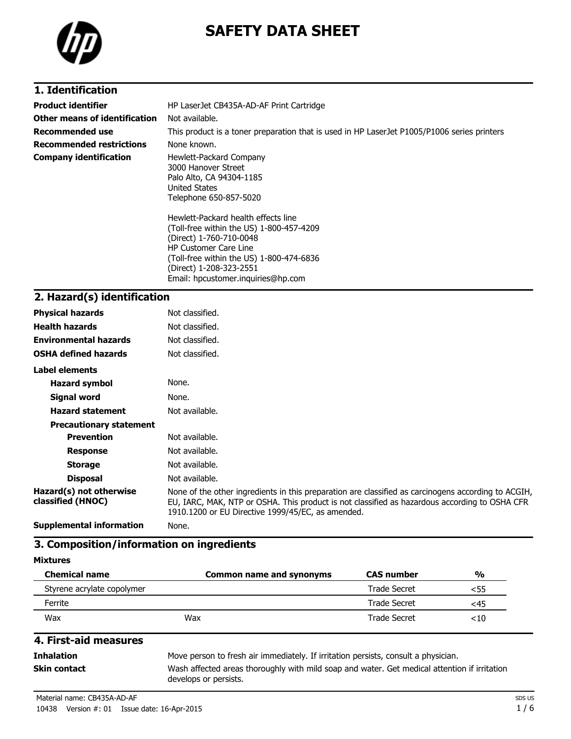

# **SAFETY DATA SHEET**

## **1. Identification**

| <b>Product identifier</b>       | HP LaserJet CB435A-AD-AF Print Cartridge                                                                                                   |  |  |
|---------------------------------|--------------------------------------------------------------------------------------------------------------------------------------------|--|--|
| Other means of identification   | Not available.                                                                                                                             |  |  |
| Recommended use                 | This product is a toner preparation that is used in HP LaserJet P1005/P1006 series printers                                                |  |  |
| <b>Recommended restrictions</b> | None known.                                                                                                                                |  |  |
| <b>Company identification</b>   | Hewlett-Packard Company<br>3000 Hanover Street<br>Palo Alto, CA 94304-1185<br>United States<br>Telephone 650-857-5020                      |  |  |
|                                 | Hewlett-Packard health effects line<br>(Toll-free within the US) 1-800-457-4209<br>(Direct) 1-760-710-0048<br><b>HP Customer Care Line</b> |  |  |

(Toll-free within the US) 1-800-474-6836 (Direct) 1-208-323-2551 Email: hpcustomer.inquiries@hp.com

## **2. Hazard(s) identification**

| <b>Physical hazards</b>                      | Not classified.                                                                                                                                                                                                                                           |
|----------------------------------------------|-----------------------------------------------------------------------------------------------------------------------------------------------------------------------------------------------------------------------------------------------------------|
| <b>Health hazards</b>                        | Not classified.                                                                                                                                                                                                                                           |
| <b>Environmental hazards</b>                 | Not classified.                                                                                                                                                                                                                                           |
| <b>OSHA defined hazards</b>                  | Not classified.                                                                                                                                                                                                                                           |
| Label elements                               |                                                                                                                                                                                                                                                           |
| <b>Hazard symbol</b>                         | None.                                                                                                                                                                                                                                                     |
| Signal word                                  | None.                                                                                                                                                                                                                                                     |
| <b>Hazard statement</b>                      | Not available.                                                                                                                                                                                                                                            |
| <b>Precautionary statement</b>               |                                                                                                                                                                                                                                                           |
| <b>Prevention</b>                            | Not available.                                                                                                                                                                                                                                            |
| <b>Response</b>                              | Not available.                                                                                                                                                                                                                                            |
| <b>Storage</b>                               | Not available.                                                                                                                                                                                                                                            |
| <b>Disposal</b>                              | Not available.                                                                                                                                                                                                                                            |
| Hazard(s) not otherwise<br>classified (HNOC) | None of the other ingredients in this preparation are classified as carcinogens according to ACGIH,<br>EU, IARC, MAK, NTP or OSHA. This product is not classified as hazardous according to OSHA CFR<br>1910.1200 or EU Directive 1999/45/EC, as amended. |
|                                              |                                                                                                                                                                                                                                                           |

**Supplemental information** None.

#### **3. Composition/information on ingredients**

**Mixtures**

| <b>Chemical name</b>       | Common name and synonyms | <b>CAS number</b>   | $\frac{0}{0}$ |
|----------------------------|--------------------------|---------------------|---------------|
| Styrene acrylate copolymer |                          | <b>Trade Secret</b> | <55           |
| Ferrite                    |                          | <b>Trade Secret</b> | <45           |
| Wax                        | Wax                      | Trade Secret        | ${<}10$       |

## **4. First-aid measures**

**Inhalation** Move person to fresh air immediately. If irritation persists, consult a physician. **Skin contact** Wash affected areas thoroughly with mild soap and water. Get medical attention if irritation develops or persists.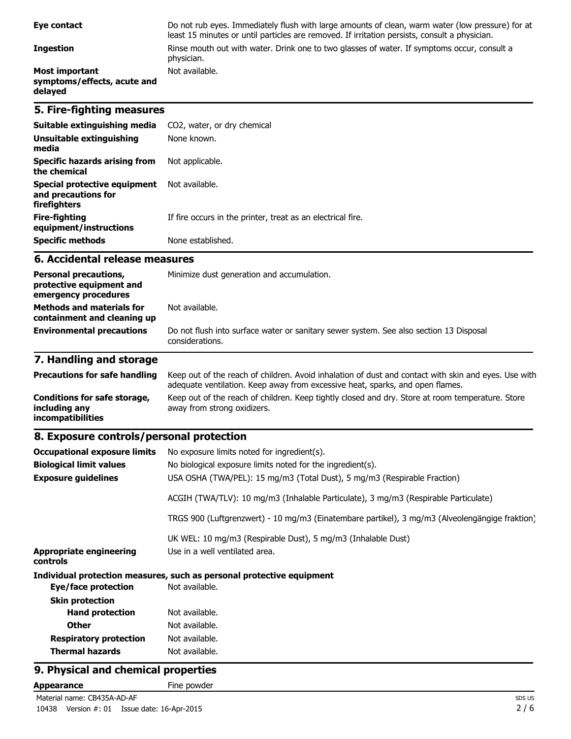| Eye contact                                                                      | Do not rub eyes. Immediately flush with large amounts of clean, warm water (low pressure) for at<br>least 15 minutes or until particles are removed. If irritation persists, consult a physician. |  |
|----------------------------------------------------------------------------------|---------------------------------------------------------------------------------------------------------------------------------------------------------------------------------------------------|--|
| <b>Ingestion</b>                                                                 | Rinse mouth out with water. Drink one to two glasses of water. If symptoms occur, consult a<br>physician.                                                                                         |  |
| <b>Most important</b><br>symptoms/effects, acute and<br>delayed                  | Not available.                                                                                                                                                                                    |  |
| 5. Fire-fighting measures                                                        |                                                                                                                                                                                                   |  |
| Suitable extinguishing media                                                     | CO2, water, or dry chemical                                                                                                                                                                       |  |
| <b>Unsuitable extinguishing</b><br>media                                         | None known.                                                                                                                                                                                       |  |
| <b>Specific hazards arising from</b><br>the chemical                             | Not applicable.                                                                                                                                                                                   |  |
| <b>Special protective equipment</b><br>and precautions for<br>firefighters       | Not available.                                                                                                                                                                                    |  |
| <b>Fire-fighting</b><br>equipment/instructions                                   | If fire occurs in the printer, treat as an electrical fire.                                                                                                                                       |  |
| <b>Specific methods</b>                                                          | None established.                                                                                                                                                                                 |  |
| 6. Accidental release measures                                                   |                                                                                                                                                                                                   |  |
| <b>Personal precautions,</b><br>protective equipment and<br>emergency procedures | Minimize dust generation and accumulation.                                                                                                                                                        |  |
| <b>Methods and materials for</b><br>containment and cleaning up                  | Not available.                                                                                                                                                                                    |  |
| <b>Environmental precautions</b>                                                 | Do not flush into surface water or sanitary sewer system. See also section 13 Disposal<br>considerations.                                                                                         |  |
| 7. Handling and storage                                                          |                                                                                                                                                                                                   |  |

#### **Precautions for safe handling** Keep out of the reach of children. Avoid inhalation of dust and contact with skin and eyes. Use with adequate ventilation. Keep away from excessive heat, sparks, and open flames. **Conditions for safe storage, including any incompatibilities** Keep out of the reach of children. Keep tightly closed and dry. Store at room temperature. Store away from strong oxidizers.

## **8. Exposure controls/personal protection**

| <b>Occupational exposure limits</b><br><b>Biological limit values</b><br><b>Exposure guidelines</b> | No exposure limits noted for ingredient(s).<br>No biological exposure limits noted for the ingredient(s).<br>USA OSHA (TWA/PEL): 15 mg/m3 (Total Dust), 5 mg/m3 (Respirable Fraction) |
|-----------------------------------------------------------------------------------------------------|---------------------------------------------------------------------------------------------------------------------------------------------------------------------------------------|
|                                                                                                     | ACGIH (TWA/TLV): 10 mg/m3 (Inhalable Particulate), 3 mg/m3 (Respirable Particulate)                                                                                                   |
|                                                                                                     | TRGS 900 (Luftgrenzwert) - 10 mg/m3 (Einatembare partikel), 3 mg/m3 (Alveolengängige fraktion)                                                                                        |
| <b>Appropriate engineering</b><br>controls                                                          | UK WEL: 10 mg/m3 (Respirable Dust), 5 mg/m3 (Inhalable Dust)<br>Use in a well ventilated area.                                                                                        |
|                                                                                                     | Individual protection measures, such as personal protective equipment                                                                                                                 |
| Eye/face protection                                                                                 | Not available.                                                                                                                                                                        |
| <b>Skin protection</b>                                                                              |                                                                                                                                                                                       |
| <b>Hand protection</b>                                                                              | Not available.                                                                                                                                                                        |
| <b>Other</b>                                                                                        | Not available.                                                                                                                                                                        |
| <b>Respiratory protection</b>                                                                       | Not available.                                                                                                                                                                        |
| <b>Thermal hazards</b>                                                                              | Not available.                                                                                                                                                                        |

## **9. Physical and chemical properties**

Appearance Fine powder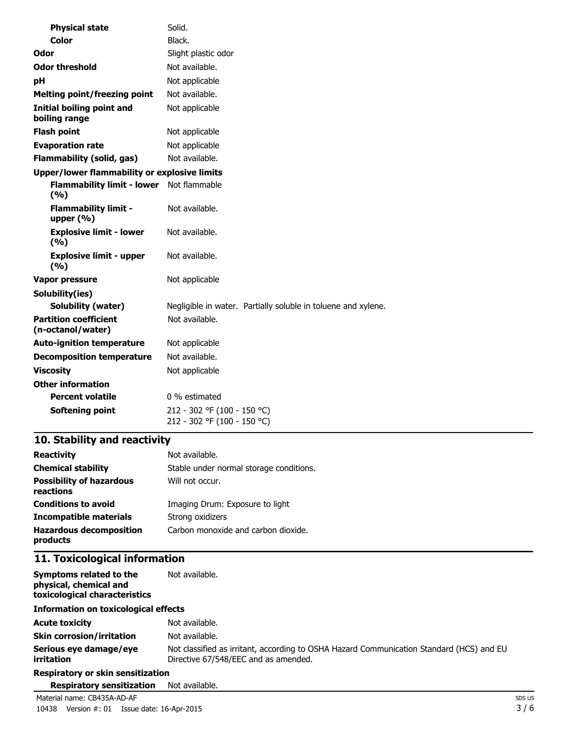| <b>Physical state</b>                               | Solid.                                                        |
|-----------------------------------------------------|---------------------------------------------------------------|
| Color                                               | Black.                                                        |
| Odor                                                | Slight plastic odor                                           |
| <b>Odor threshold</b>                               | Not available.                                                |
| рH                                                  | Not applicable                                                |
| <b>Melting point/freezing point</b>                 | Not available.                                                |
| <b>Initial boiling point and</b><br>boiling range   | Not applicable                                                |
| <b>Flash point</b>                                  | Not applicable                                                |
| <b>Evaporation rate</b>                             | Not applicable                                                |
| <b>Flammability (solid, gas)</b>                    | Not available.                                                |
| <b>Upper/lower flammability or explosive limits</b> |                                                               |
| <b>Flammability limit - lower</b><br>(%)            | Not flammable                                                 |
| <b>Flammability limit -</b><br>upper $(% )$         | Not available.                                                |
| <b>Explosive limit - lower</b><br>(9/6)             | Not available.                                                |
| <b>Explosive limit - upper</b><br>(9/6)             | Not available.                                                |
| <b>Vapor pressure</b>                               | Not applicable                                                |
| Solubility(ies)                                     |                                                               |
| <b>Solubility (water)</b>                           | Negligible in water. Partially soluble in toluene and xylene. |
| <b>Partition coefficient</b><br>(n-octanol/water)   | Not available.                                                |
| <b>Auto-ignition temperature</b>                    | Not applicable                                                |
| <b>Decomposition temperature</b>                    | Not available.                                                |
| <b>Viscosity</b>                                    | Not applicable                                                |
| <b>Other information</b>                            |                                                               |
| <b>Percent volatile</b>                             | 0 % estimated                                                 |
| <b>Softening point</b>                              | 212 - 302 °F (100 - 150 °C)<br>212 - 302 °F (100 - 150 °C)    |

# **10. Stability and reactivity**

| <b>Reactivity</b>                            | Not available.                          |
|----------------------------------------------|-----------------------------------------|
| <b>Chemical stability</b>                    | Stable under normal storage conditions. |
| <b>Possibility of hazardous</b><br>reactions | Will not occur.                         |
| <b>Conditions to avoid</b>                   | Imaging Drum: Exposure to light         |
| Incompatible materials                       | Strong oxidizers                        |
| <b>Hazardous decomposition</b><br>products   | Carbon monoxide and carbon dioxide.     |

## **11. Toxicological information**

| Symptoms related to the<br>physical, chemical and<br>toxicological characteristics | Not available.                                                                                                                   |  |  |
|------------------------------------------------------------------------------------|----------------------------------------------------------------------------------------------------------------------------------|--|--|
| <b>Information on toxicological effects</b>                                        |                                                                                                                                  |  |  |
| <b>Acute toxicity</b>                                                              | Not available.                                                                                                                   |  |  |
| <b>Skin corrosion/irritation</b>                                                   | Not available.                                                                                                                   |  |  |
| Serious eye damage/eye<br>irritation                                               | Not classified as irritant, according to OSHA Hazard Communication Standard (HCS) and EU<br>Directive 67/548/EEC and as amended. |  |  |
| <b>Respiratory or skin sensitization</b>                                           |                                                                                                                                  |  |  |
| <b>Respiratory sensitization</b>                                                   | Not available.                                                                                                                   |  |  |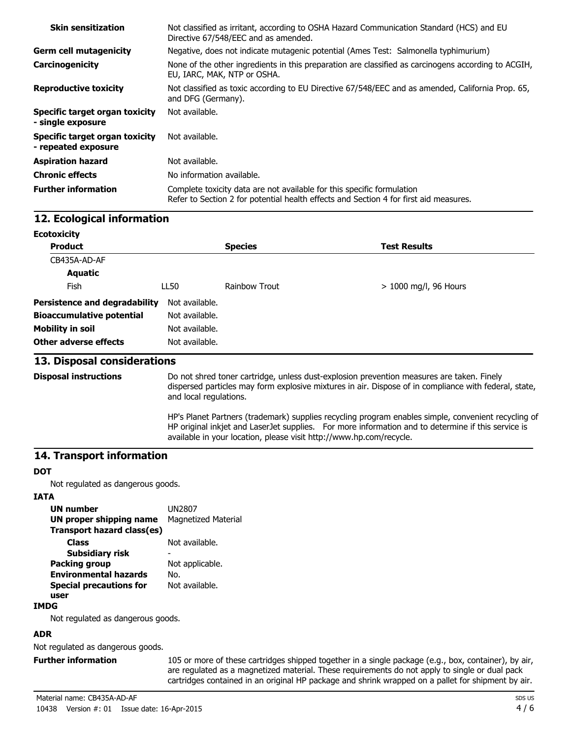| <b>Skin sensitization</b>                             | Not classified as irritant, according to OSHA Hazard Communication Standard (HCS) and EU<br>Directive 67/548/EEC and as amended.                                |
|-------------------------------------------------------|-----------------------------------------------------------------------------------------------------------------------------------------------------------------|
| <b>Germ cell mutagenicity</b>                         | Negative, does not indicate mutagenic potential (Ames Test: Salmonella typhimurium)                                                                             |
| Carcinogenicity                                       | None of the other ingredients in this preparation are classified as carcinogens according to ACGIH,<br>EU, IARC, MAK, NTP or OSHA.                              |
| <b>Reproductive toxicity</b>                          | Not classified as toxic according to EU Directive 67/548/EEC and as amended, California Prop. 65,<br>and DFG (Germany).                                         |
| Specific target organ toxicity<br>- single exposure   | Not available.                                                                                                                                                  |
| Specific target organ toxicity<br>- repeated exposure | Not available.                                                                                                                                                  |
| <b>Aspiration hazard</b>                              | Not available.                                                                                                                                                  |
| <b>Chronic effects</b>                                | No information available.                                                                                                                                       |
| <b>Further information</b>                            | Complete toxicity data are not available for this specific formulation<br>Refer to Section 2 for potential health effects and Section 4 for first aid measures. |

#### **12. Ecological information**

| <b>Ecotoxicity</b>                   |                |                |                         |  |
|--------------------------------------|----------------|----------------|-------------------------|--|
| <b>Product</b>                       |                | <b>Species</b> | <b>Test Results</b>     |  |
| CB435A-AD-AF                         |                |                |                         |  |
| <b>Aquatic</b>                       |                |                |                         |  |
| <b>Fish</b>                          | LL50           | Rainbow Trout  | $> 1000$ mg/l, 96 Hours |  |
| <b>Persistence and degradability</b> | Not available. |                |                         |  |
| <b>Bioaccumulative potential</b>     | Not available. |                |                         |  |
| <b>Mobility in soil</b>              | Not available. |                |                         |  |
| Other adverse effects                | Not available. |                |                         |  |

#### **13. Disposal considerations**

**Disposal instructions** Do not shred toner cartridge, unless dust-explosion prevention measures are taken. Finely dispersed particles may form explosive mixtures in air. Dispose of in compliance with federal, state, and local regulations.

> HP's Planet Partners (trademark) supplies recycling program enables simple, convenient recycling of HP original inkjet and LaserJet supplies. For more information and to determine if this service is available in your location, please visit http://www.hp.com/recycle.

#### **14. Transport information**

#### **DOT**

Not regulated as dangerous goods.

#### **IATA**

| <b>UN number</b>               | UN2807                     |
|--------------------------------|----------------------------|
| <b>UN proper shipping name</b> | <b>Magnetized Material</b> |
| Transport hazard class(es)     |                            |
| <b>Class</b>                   | Not available.             |
| Subsidiary risk                |                            |
| <b>Packing group</b>           | Not applicable.            |
| <b>Environmental hazards</b>   | No.                        |
| <b>Special precautions for</b> | Not available.             |
| user                           |                            |
|                                |                            |

#### **IMDG**

Not regulated as dangerous goods.

#### **ADR**

Not regulated as dangerous goods.

**Further information** 105 or more of these cartridges shipped together in a single package (e.g., box, container), by air, are regulated as a magnetized material. These requirements do not apply to single or dual pack cartridges contained in an original HP package and shrink wrapped on a pallet for shipment by air.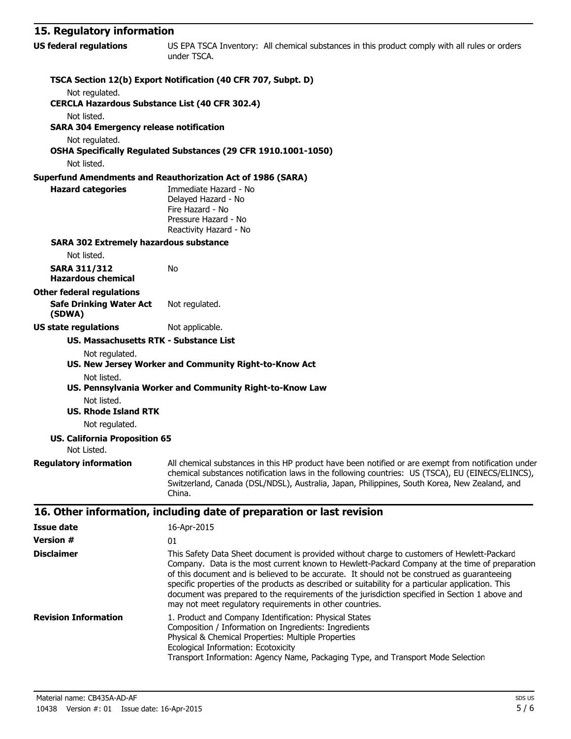## **15. Regulatory information**

| 15. REYUIALUI Y IIIIUI IIIALIUII                                     |                                                                                                                                                                                                                                                                                                                                                                                                                                                                                                                                                                |
|----------------------------------------------------------------------|----------------------------------------------------------------------------------------------------------------------------------------------------------------------------------------------------------------------------------------------------------------------------------------------------------------------------------------------------------------------------------------------------------------------------------------------------------------------------------------------------------------------------------------------------------------|
| <b>US federal regulations</b>                                        | US EPA TSCA Inventory: All chemical substances in this product comply with all rules or orders<br>under TSCA.                                                                                                                                                                                                                                                                                                                                                                                                                                                  |
|                                                                      | TSCA Section 12(b) Export Notification (40 CFR 707, Subpt. D)                                                                                                                                                                                                                                                                                                                                                                                                                                                                                                  |
| Not regulated.                                                       |                                                                                                                                                                                                                                                                                                                                                                                                                                                                                                                                                                |
| <b>CERCLA Hazardous Substance List (40 CFR 302.4)</b><br>Not listed. |                                                                                                                                                                                                                                                                                                                                                                                                                                                                                                                                                                |
| <b>SARA 304 Emergency release notification</b>                       |                                                                                                                                                                                                                                                                                                                                                                                                                                                                                                                                                                |
| Not regulated.                                                       |                                                                                                                                                                                                                                                                                                                                                                                                                                                                                                                                                                |
|                                                                      | OSHA Specifically Regulated Substances (29 CFR 1910.1001-1050)                                                                                                                                                                                                                                                                                                                                                                                                                                                                                                 |
| Not listed.                                                          |                                                                                                                                                                                                                                                                                                                                                                                                                                                                                                                                                                |
|                                                                      | <b>Superfund Amendments and Reauthorization Act of 1986 (SARA)</b>                                                                                                                                                                                                                                                                                                                                                                                                                                                                                             |
| <b>Hazard categories</b>                                             | Immediate Hazard - No<br>Delayed Hazard - No<br>Fire Hazard - No<br>Pressure Hazard - No                                                                                                                                                                                                                                                                                                                                                                                                                                                                       |
| <b>SARA 302 Extremely hazardous substance</b>                        | Reactivity Hazard - No                                                                                                                                                                                                                                                                                                                                                                                                                                                                                                                                         |
| Not listed.                                                          |                                                                                                                                                                                                                                                                                                                                                                                                                                                                                                                                                                |
| <b>SARA 311/312</b>                                                  | No                                                                                                                                                                                                                                                                                                                                                                                                                                                                                                                                                             |
| <b>Hazardous chemical</b>                                            |                                                                                                                                                                                                                                                                                                                                                                                                                                                                                                                                                                |
| <b>Other federal regulations</b>                                     |                                                                                                                                                                                                                                                                                                                                                                                                                                                                                                                                                                |
| <b>Safe Drinking Water Act</b><br>(SDWA)                             | Not regulated.                                                                                                                                                                                                                                                                                                                                                                                                                                                                                                                                                 |
| <b>US state regulations</b>                                          | Not applicable.                                                                                                                                                                                                                                                                                                                                                                                                                                                                                                                                                |
| <b>US. Massachusetts RTK - Substance List</b>                        |                                                                                                                                                                                                                                                                                                                                                                                                                                                                                                                                                                |
| Not regulated.                                                       |                                                                                                                                                                                                                                                                                                                                                                                                                                                                                                                                                                |
| Not listed.                                                          | US. New Jersey Worker and Community Right-to-Know Act                                                                                                                                                                                                                                                                                                                                                                                                                                                                                                          |
|                                                                      | US. Pennsylvania Worker and Community Right-to-Know Law                                                                                                                                                                                                                                                                                                                                                                                                                                                                                                        |
| Not listed.                                                          |                                                                                                                                                                                                                                                                                                                                                                                                                                                                                                                                                                |
| <b>US. Rhode Island RTK</b>                                          |                                                                                                                                                                                                                                                                                                                                                                                                                                                                                                                                                                |
| Not regulated.                                                       |                                                                                                                                                                                                                                                                                                                                                                                                                                                                                                                                                                |
| <b>US. California Proposition 65</b><br>Not Listed.                  |                                                                                                                                                                                                                                                                                                                                                                                                                                                                                                                                                                |
| <b>Regulatory information</b>                                        | All chemical substances in this HP product have been notified or are exempt from notification under<br>chemical substances notification laws in the following countries: US (TSCA), EU (EINECS/ELINCS),<br>Switzerland, Canada (DSL/NDSL), Australia, Japan, Philippines, South Korea, New Zealand, and<br>China.                                                                                                                                                                                                                                              |
|                                                                      | 16. Other information, including date of preparation or last revision                                                                                                                                                                                                                                                                                                                                                                                                                                                                                          |
| <b>Issue date</b>                                                    | 16-Apr-2015                                                                                                                                                                                                                                                                                                                                                                                                                                                                                                                                                    |
| <b>Version #</b>                                                     | 01                                                                                                                                                                                                                                                                                                                                                                                                                                                                                                                                                             |
| <b>Disclaimer</b>                                                    | This Safety Data Sheet document is provided without charge to customers of Hewlett-Packard<br>Company. Data is the most current known to Hewlett-Packard Company at the time of preparation<br>of this document and is believed to be accurate. It should not be construed as guaranteeing<br>specific properties of the products as described or suitability for a particular application. This<br>document was prepared to the requirements of the jurisdiction specified in Section 1 above and<br>may not meet regulatory requirements in other countries. |
| <b>Revision Information</b>                                          | 1. Product and Company Identification: Physical States<br>Composition / Information on Ingredients: Ingredients<br>Physical & Chemical Properties: Multiple Properties<br>Ecological Information: Ecotoxicity<br>Transport Information: Agency Name, Packaging Type, and Transport Mode Selection                                                                                                                                                                                                                                                              |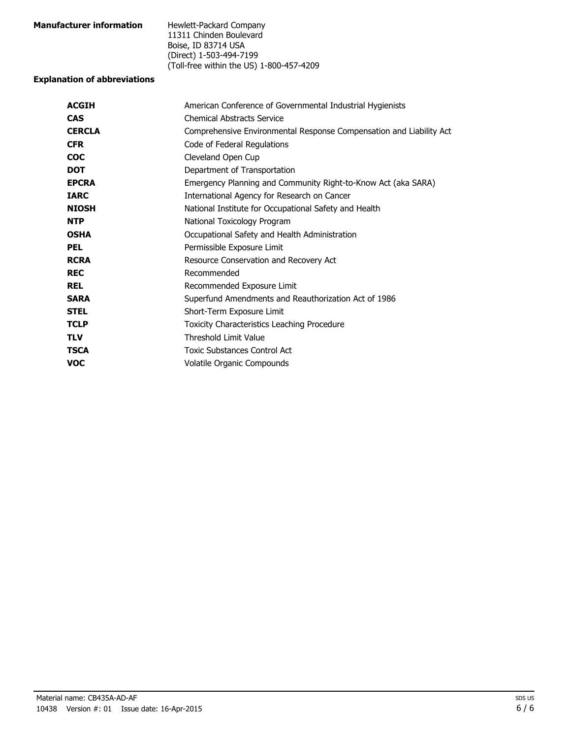| <b>Manufacturer information</b> | Hewlett-Packard Company                  |
|---------------------------------|------------------------------------------|
|                                 | 11311 Chinden Boulevard                  |
|                                 | Boise, ID 83714 USA                      |
|                                 | (Direct) 1-503-494-7199                  |
|                                 | (Toll-free within the US) 1-800-457-4209 |

## **Explanation of abbreviations**

| American Conference of Governmental Industrial Hygienists           |  |
|---------------------------------------------------------------------|--|
| <b>Chemical Abstracts Service</b>                                   |  |
| Comprehensive Environmental Response Compensation and Liability Act |  |
| Code of Federal Regulations                                         |  |
| Cleveland Open Cup                                                  |  |
| Department of Transportation                                        |  |
| Emergency Planning and Community Right-to-Know Act (aka SARA)       |  |
| International Agency for Research on Cancer                         |  |
| National Institute for Occupational Safety and Health               |  |
| National Toxicology Program                                         |  |
| Occupational Safety and Health Administration                       |  |
| Permissible Exposure Limit                                          |  |
| Resource Conservation and Recovery Act                              |  |
| Recommended                                                         |  |
| Recommended Exposure Limit                                          |  |
| Superfund Amendments and Reauthorization Act of 1986                |  |
| Short-Term Exposure Limit                                           |  |
| Toxicity Characteristics Leaching Procedure                         |  |
| <b>Threshold Limit Value</b>                                        |  |
| Toxic Substances Control Act                                        |  |
| Volatile Organic Compounds                                          |  |
|                                                                     |  |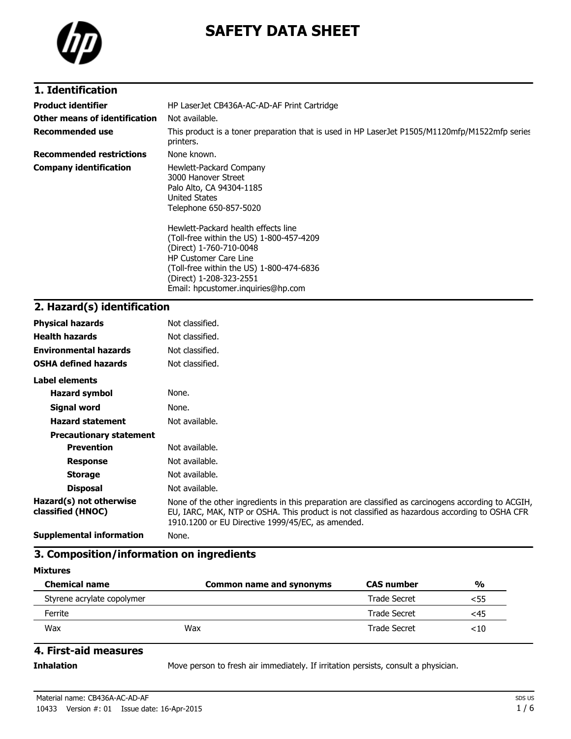

# **SAFETY DATA SHEET**

## **1. Identification**

| <b>Product identifier</b>       | HP LaserJet CB436A-AC-AD-AF Print Cartridge                                                                                                                                                                                                                                                                                                                                      |  |
|---------------------------------|----------------------------------------------------------------------------------------------------------------------------------------------------------------------------------------------------------------------------------------------------------------------------------------------------------------------------------------------------------------------------------|--|
| Other means of identification   | Not available.                                                                                                                                                                                                                                                                                                                                                                   |  |
| <b>Recommended use</b>          | This product is a toner preparation that is used in HP LaserJet P1505/M1120mfp/M1522mfp series<br>printers.                                                                                                                                                                                                                                                                      |  |
| <b>Recommended restrictions</b> | None known.                                                                                                                                                                                                                                                                                                                                                                      |  |
| <b>Company identification</b>   | Hewlett-Packard Company<br>3000 Hanover Street<br>Palo Alto, CA 94304-1185<br>United States<br>Telephone 650-857-5020<br>Hewlett-Packard health effects line<br>(Toll-free within the US) 1-800-457-4209<br>(Direct) 1-760-710-0048<br><b>HP Customer Care Line</b><br>(Toll-free within the US) 1-800-474-6836<br>(Direct) 1-208-323-2551<br>Email: hpcustomer.inguiries@hp.com |  |

# **2. Hazard(s) identification**

| <b>Physical hazards</b>                      | Not classified.                                                                                                                                                                                                                                           |
|----------------------------------------------|-----------------------------------------------------------------------------------------------------------------------------------------------------------------------------------------------------------------------------------------------------------|
| <b>Health hazards</b>                        | Not classified.                                                                                                                                                                                                                                           |
| <b>Environmental hazards</b>                 | Not classified.                                                                                                                                                                                                                                           |
| <b>OSHA defined hazards</b>                  | Not classified.                                                                                                                                                                                                                                           |
| Label elements                               |                                                                                                                                                                                                                                                           |
| <b>Hazard symbol</b>                         | None.                                                                                                                                                                                                                                                     |
| Signal word                                  | None.                                                                                                                                                                                                                                                     |
| <b>Hazard statement</b>                      | Not available.                                                                                                                                                                                                                                            |
| <b>Precautionary statement</b>               |                                                                                                                                                                                                                                                           |
| <b>Prevention</b>                            | Not available.                                                                                                                                                                                                                                            |
| <b>Response</b>                              | Not available.                                                                                                                                                                                                                                            |
| <b>Storage</b>                               | Not available.                                                                                                                                                                                                                                            |
| <b>Disposal</b>                              | Not available.                                                                                                                                                                                                                                            |
| Hazard(s) not otherwise<br>classified (HNOC) | None of the other ingredients in this preparation are classified as carcinogens according to ACGIH,<br>EU, IARC, MAK, NTP or OSHA. This product is not classified as hazardous according to OSHA CFR<br>1910.1200 or EU Directive 1999/45/EC, as amended. |
| <b>Supplemental information</b>              | None.                                                                                                                                                                                                                                                     |

## **3. Composition/information on ingredients**

### **Mixtures**

| <b>Chemical name</b>       | Common name and synonyms | <b>CAS number</b>   | $\frac{0}{0}$ |
|----------------------------|--------------------------|---------------------|---------------|
| Styrene acrylate copolymer |                          | <b>Trade Secret</b> | <55           |
| Ferrite                    |                          | <b>Trade Secret</b> | <45           |
| Wax                        | Wax                      | Trade Secret        | <10           |

### **4. First-aid measures**

**Inhalation** Move person to fresh air immediately. If irritation persists, consult a physician.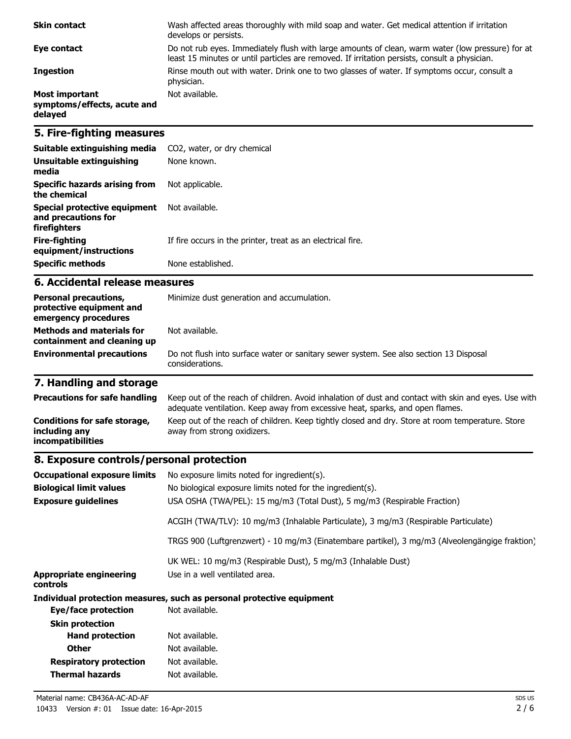| <b>Skin contact</b>                                             | Wash affected areas thoroughly with mild soap and water. Get medical attention if irritation<br>develops or persists.                                                                             |
|-----------------------------------------------------------------|---------------------------------------------------------------------------------------------------------------------------------------------------------------------------------------------------|
| Eye contact                                                     | Do not rub eyes. Immediately flush with large amounts of clean, warm water (low pressure) for at<br>least 15 minutes or until particles are removed. If irritation persists, consult a physician. |
| <b>Ingestion</b>                                                | Rinse mouth out with water. Drink one to two glasses of water. If symptoms occur, consult a<br>physician.                                                                                         |
| <b>Most important</b><br>symptoms/effects, acute and<br>delayed | Not available.                                                                                                                                                                                    |

## **5. Fire-fighting measures**

| Suitable extinguishing media                                        | CO2, water, or dry chemical                                 |
|---------------------------------------------------------------------|-------------------------------------------------------------|
| Unsuitable extinguishing<br>media                                   | None known.                                                 |
| Specific hazards arising from<br>the chemical                       | Not applicable.                                             |
| Special protective equipment<br>and precautions for<br>firefighters | Not available.                                              |
| Fire-fighting<br>equipment/instructions                             | If fire occurs in the printer, treat as an electrical fire. |
| <b>Specific methods</b>                                             | None established.                                           |

#### **6. Accidental release measures**

| <b>Personal precautions,</b><br>protective equipment and<br>emergency procedures<br><b>Methods and materials for</b> | Minimize dust generation and accumulation.<br>Not available.                                              |  |
|----------------------------------------------------------------------------------------------------------------------|-----------------------------------------------------------------------------------------------------------|--|
| containment and cleaning up                                                                                          |                                                                                                           |  |
| <b>Environmental precautions</b>                                                                                     | Do not flush into surface water or sanitary sewer system. See also section 13 Disposal<br>considerations. |  |

# **7. Handling and storage**

| <b>Precautions for safe handling</b>                               | Keep out of the reach of children. Avoid inhalation of dust and contact with skin and eyes. Use with<br>adequate ventilation. Keep away from excessive heat, sparks, and open flames. |
|--------------------------------------------------------------------|---------------------------------------------------------------------------------------------------------------------------------------------------------------------------------------|
| Conditions for safe storage,<br>including any<br>incompatibilities | Keep out of the reach of children. Keep tightly closed and dry. Store at room temperature. Store<br>away from strong oxidizers.                                                       |

## **8. Exposure controls/personal protection**

| <b>Occupational exposure limits</b>        | No exposure limits noted for ingredient(s).                                                    |  |
|--------------------------------------------|------------------------------------------------------------------------------------------------|--|
| <b>Biological limit values</b>             | No biological exposure limits noted for the ingredient(s).                                     |  |
| <b>Exposure guidelines</b>                 | USA OSHA (TWA/PEL): 15 mg/m3 (Total Dust), 5 mg/m3 (Respirable Fraction)                       |  |
|                                            | ACGIH (TWA/TLV): 10 mg/m3 (Inhalable Particulate), 3 mg/m3 (Respirable Particulate)            |  |
|                                            | TRGS 900 (Luftgrenzwert) - 10 mg/m3 (Einatembare partikel), 3 mg/m3 (Alveolengängige fraktion) |  |
|                                            | UK WEL: 10 mg/m3 (Respirable Dust), 5 mg/m3 (Inhalable Dust)                                   |  |
| <b>Appropriate engineering</b><br>controls | Use in a well ventilated area.                                                                 |  |
|                                            | Individual protection measures, such as personal protective equipment                          |  |
| Eye/face protection                        | Not available.                                                                                 |  |
| <b>Skin protection</b>                     |                                                                                                |  |
| <b>Hand protection</b>                     | Not available.                                                                                 |  |
| <b>Other</b>                               | Not available.                                                                                 |  |
| <b>Respiratory protection</b>              | Not available.                                                                                 |  |
| Thermal hazards                            | Not available.                                                                                 |  |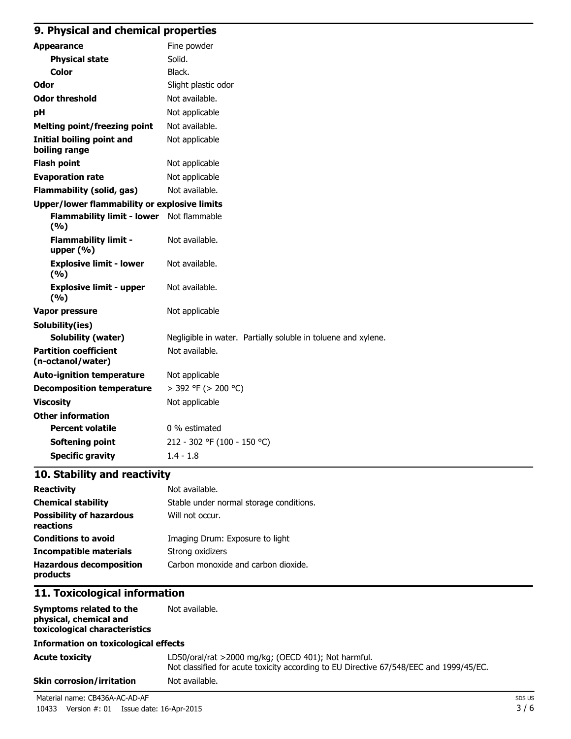# **9. Physical and chemical properties**

| <b>Appearance</b>                                   | Fine powder                                                   |
|-----------------------------------------------------|---------------------------------------------------------------|
| <b>Physical state</b>                               | Solid.                                                        |
| Color                                               | Black.                                                        |
| <b>Odor</b>                                         | Slight plastic odor                                           |
| <b>Odor threshold</b>                               | Not available.                                                |
| рH                                                  | Not applicable                                                |
| <b>Melting point/freezing point</b>                 | Not available.                                                |
| <b>Initial boiling point and</b><br>boiling range   | Not applicable                                                |
| <b>Flash point</b>                                  | Not applicable                                                |
| <b>Evaporation rate</b>                             | Not applicable                                                |
| <b>Flammability (solid, gas)</b>                    | Not available.                                                |
| <b>Upper/lower flammability or explosive limits</b> |                                                               |
| Flammability limit - lower Not flammable<br>(%)     |                                                               |
| <b>Flammability limit -</b><br>upper $(% )$         | Not available.                                                |
| <b>Explosive limit - lower</b><br>(%)               | Not available.                                                |
| <b>Explosive limit - upper</b><br>(%)               | Not available.                                                |
| <b>Vapor pressure</b>                               | Not applicable                                                |
| Solubility(ies)                                     |                                                               |
| <b>Solubility (water)</b>                           | Negligible in water. Partially soluble in toluene and xylene. |
| <b>Partition coefficient</b><br>(n-octanol/water)   | Not available.                                                |
| <b>Auto-ignition temperature</b>                    | Not applicable                                                |
| <b>Decomposition temperature</b>                    | > 392 °F (> 200 °C)                                           |
| <b>Viscosity</b>                                    | Not applicable                                                |
| <b>Other information</b>                            |                                                               |
| <b>Percent volatile</b>                             | 0 % estimated                                                 |
| <b>Softening point</b>                              | 212 - 302 °F (100 - 150 °C)                                   |
| <b>Specific gravity</b>                             | $1.4 - 1.8$                                                   |

## **10. Stability and reactivity**

| <b>Reactivity</b>                            | Not available.                          |
|----------------------------------------------|-----------------------------------------|
| <b>Chemical stability</b>                    | Stable under normal storage conditions. |
| <b>Possibility of hazardous</b><br>reactions | Will not occur.                         |
| <b>Conditions to avoid</b>                   | Imaging Drum: Exposure to light         |
| <b>Incompatible materials</b>                | Strong oxidizers                        |
| <b>Hazardous decomposition</b><br>products   | Carbon monoxide and carbon dioxide.     |

# **11. Toxicological information**

| Symptoms related to the<br>physical, chemical and<br>toxicological characteristics | Not available.                                                                                                                                |
|------------------------------------------------------------------------------------|-----------------------------------------------------------------------------------------------------------------------------------------------|
| <b>Information on toxicological effects</b>                                        |                                                                                                                                               |
| Acute toxicity                                                                     | LD50/oral/rat >2000 mg/kg; (OECD 401); Not harmful.<br>Not classified for acute toxicity according to EU Directive 67/548/EEC and 1999/45/EC. |
| Skin corrosion/irritation                                                          | Not available.                                                                                                                                |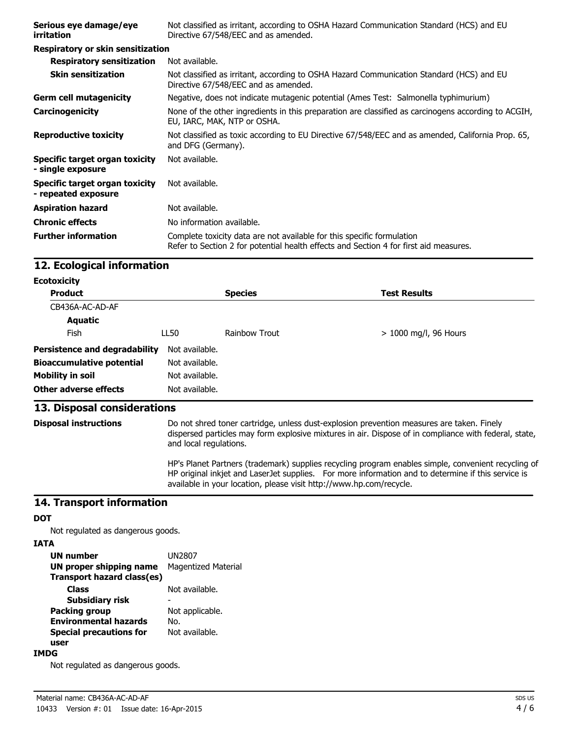| Serious eye damage/eye<br>irritation                  | Not classified as irritant, according to OSHA Hazard Communication Standard (HCS) and EU<br>Directive 67/548/EEC and as amended.                                |
|-------------------------------------------------------|-----------------------------------------------------------------------------------------------------------------------------------------------------------------|
| Respiratory or skin sensitization                     |                                                                                                                                                                 |
| <b>Respiratory sensitization</b>                      | Not available.                                                                                                                                                  |
| <b>Skin sensitization</b>                             | Not classified as irritant, according to OSHA Hazard Communication Standard (HCS) and EU<br>Directive 67/548/EEC and as amended.                                |
| <b>Germ cell mutagenicity</b>                         | Negative, does not indicate mutagenic potential (Ames Test: Salmonella typhimurium)                                                                             |
| Carcinogenicity                                       | None of the other ingredients in this preparation are classified as carcinogens according to ACGIH,<br>EU, IARC, MAK, NTP or OSHA.                              |
| <b>Reproductive toxicity</b>                          | Not classified as toxic according to EU Directive 67/548/EEC and as amended, California Prop. 65,<br>and DFG (Germany).                                         |
| Specific target organ toxicity<br>- single exposure   | Not available.                                                                                                                                                  |
| Specific target organ toxicity<br>- repeated exposure | Not available.                                                                                                                                                  |
| <b>Aspiration hazard</b>                              | Not available.                                                                                                                                                  |
| <b>Chronic effects</b>                                | No information available.                                                                                                                                       |
| <b>Further information</b>                            | Complete toxicity data are not available for this specific formulation<br>Refer to Section 2 for potential health effects and Section 4 for first aid measures. |

### **12. Ecological information**

| <b>Ecotoxicity</b> |  |  |
|--------------------|--|--|
|--------------------|--|--|

| <b>Product</b>                       |                | <b>Species</b> | <b>Test Results</b>     |
|--------------------------------------|----------------|----------------|-------------------------|
| CB436A-AC-AD-AF                      |                |                |                         |
| Aquatic                              |                |                |                         |
| <b>Fish</b>                          | LL50           | Rainbow Trout  | $> 1000$ mg/l, 96 Hours |
| <b>Persistence and degradability</b> | Not available. |                |                         |
| <b>Bioaccumulative potential</b>     | Not available. |                |                         |
| <b>Mobility in soil</b>              | Not available. |                |                         |
| <b>Other adverse effects</b>         | Not available. |                |                         |

### **13. Disposal considerations**

**Disposal instructions** Do not shred toner cartridge, unless dust-explosion prevention measures are taken. Finely dispersed particles may form explosive mixtures in air. Dispose of in compliance with federal, state, and local regulations.

> HP's Planet Partners (trademark) supplies recycling program enables simple, convenient recycling of HP original inkjet and LaserJet supplies. For more information and to determine if this service is available in your location, please visit http://www.hp.com/recycle.

## **14. Transport information**

#### **DOT**

Not regulated as dangerous goods.

#### **IATA**

| <b>UN number</b>               | UN2807                     |
|--------------------------------|----------------------------|
| <b>UN proper shipping name</b> | <b>Magentized Material</b> |
| Transport hazard class(es)     |                            |
| Class                          | Not available.             |
| <b>Subsidiary risk</b>         |                            |
| <b>Packing group</b>           | Not applicable.            |
| <b>Environmental hazards</b>   | No.                        |
| <b>Special precautions for</b> | Not available.             |
| user                           |                            |

#### **IMDG**

Not regulated as dangerous goods.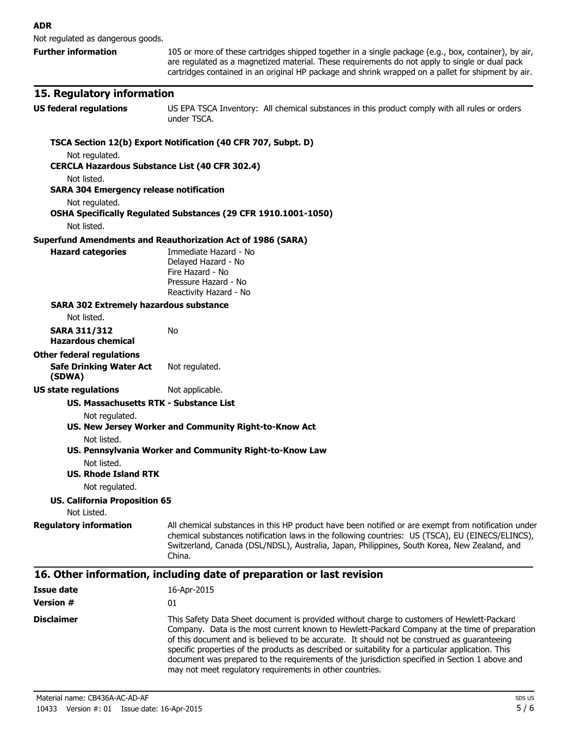Not regulated as dangerous goods.

**Further information** 105 or more of these cartridges shipped together in a single package (e.g., box, container), by air, are regulated as a magnetized material. These requirements do not apply to single or dual pack cartridges contained in an original HP package and shrink wrapped on a pallet for shipment by air.

#### **15. Regulatory information**

**US federal regulations** US EPA TSCA Inventory: All chemical substances in this product comply with all rules or orders under TSCA.

document was prepared to the requirements of the jurisdiction specified in Section 1 above and

may not meet regulatory requirements in other countries.

#### **TSCA Section 12(b) Export Notification (40 CFR 707, Subpt. D)** Not regulated. **CERCLA Hazardous Substance List (40 CFR 302.4)** Not listed. **SARA 304 Emergency release notification** Not regulated. **OSHA Specifically Regulated Substances (29 CFR 1910.1001-1050)** Not listed. **Superfund Amendments and Reauthorization Act of 1986 (SARA) Hazard categories** Immediate Hazard - No Delayed Hazard - No Fire Hazard - No Pressure Hazard - No Reactivity Hazard - No **SARA 302 Extremely hazardous substance** Not listed. **SARA 311/312 Hazardous chemical** No **Other federal regulations Safe Drinking Water Act (SDWA)** Not regulated. **US state regulations** Not applicable. **US. Massachusetts RTK - Substance List** Not regulated. **US. New Jersey Worker and Community Right-to-Know Act** Not listed. **US. Pennsylvania Worker and Community Right-to-Know Law** Not listed. **US. Rhode Island RTK** Not regulated. **US. California Proposition 65** Not Listed. **Requiatory information** All chemical substances in this HP product have been notified or are exempt from notification under chemical substances notification laws in the following countries: US (TSCA), EU (EINECS/ELINCS), Switzerland, Canada (DSL/NDSL), Australia, Japan, Philippines, South Korea, New Zealand, and China. **16. Other information, including date of preparation or last revision Issue date** 16-Apr-2015 **Version #** 01 **Disclaimer** This Safety Data Sheet document is provided without charge to customers of Hewlett-Packard Company. Data is the most current known to Hewlett-Packard Company at the time of preparation of this document and is believed to be accurate. It should not be construed as guaranteeing specific properties of the products as described or suitability for a particular application. This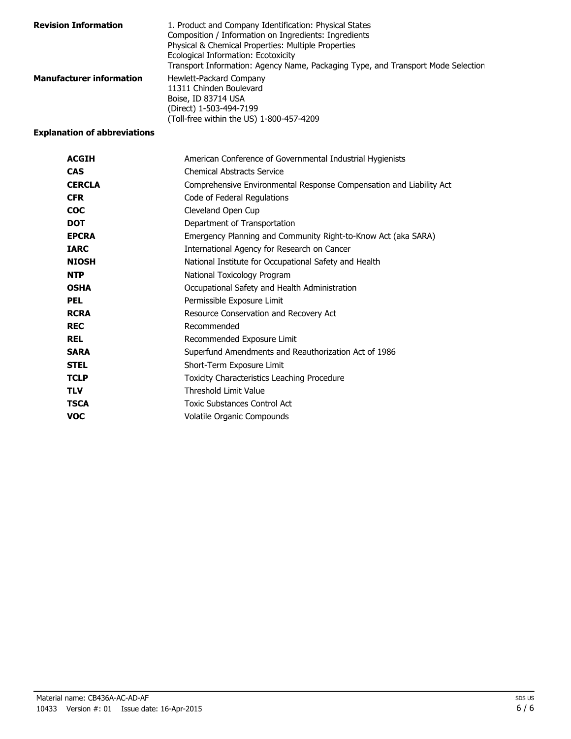| <b>Revision Information</b>     | 1. Product and Company Identification: Physical States<br>Composition / Information on Ingredients: Ingredients<br>Physical & Chemical Properties: Multiple Properties<br>Ecological Information: Ecotoxicity<br>Transport Information: Agency Name, Packaging Type, and Transport Mode Selection |
|---------------------------------|---------------------------------------------------------------------------------------------------------------------------------------------------------------------------------------------------------------------------------------------------------------------------------------------------|
| <b>Manufacturer information</b> | Hewlett-Packard Company<br>11311 Chinden Boulevard<br>Boise, ID 83714 USA<br>(Direct) 1-503-494-7199<br>(Toll-free within the US) 1-800-457-4209                                                                                                                                                  |

## **Explanation of abbreviations**

| <b>ACGIH</b>  | American Conference of Governmental Industrial Hygienists           |
|---------------|---------------------------------------------------------------------|
| <b>CAS</b>    | <b>Chemical Abstracts Service</b>                                   |
| <b>CERCLA</b> | Comprehensive Environmental Response Compensation and Liability Act |
| <b>CFR</b>    | Code of Federal Regulations                                         |
| <b>COC</b>    | Cleveland Open Cup                                                  |
| <b>DOT</b>    | Department of Transportation                                        |
| <b>EPCRA</b>  | Emergency Planning and Community Right-to-Know Act (aka SARA)       |
| <b>IARC</b>   | International Agency for Research on Cancer                         |
| <b>NIOSH</b>  | National Institute for Occupational Safety and Health               |
| <b>NTP</b>    | National Toxicology Program                                         |
| <b>OSHA</b>   | Occupational Safety and Health Administration                       |
| <b>PEL</b>    | Permissible Exposure Limit                                          |
| <b>RCRA</b>   | Resource Conservation and Recovery Act                              |
| <b>REC</b>    | Recommended                                                         |
| <b>REL</b>    | Recommended Exposure Limit                                          |
| <b>SARA</b>   | Superfund Amendments and Reauthorization Act of 1986                |
| <b>STEL</b>   | Short-Term Exposure Limit                                           |
| <b>TCLP</b>   | Toxicity Characteristics Leaching Procedure                         |
| <b>TLV</b>    | Threshold Limit Value                                               |
| <b>TSCA</b>   | Toxic Substances Control Act                                        |
| <b>VOC</b>    | Volatile Organic Compounds                                          |
|               |                                                                     |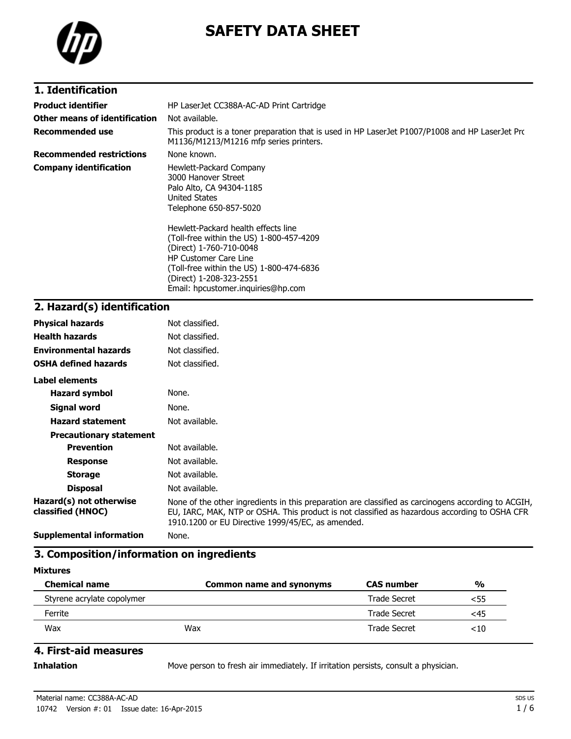

# **SAFETY DATA SHEET**

## **1. Identification**

| <b>Product identifier</b>       | HP LaserJet CC388A-AC-AD Print Cartridge                                                                                                                                                                                                                                                                                                                                         |
|---------------------------------|----------------------------------------------------------------------------------------------------------------------------------------------------------------------------------------------------------------------------------------------------------------------------------------------------------------------------------------------------------------------------------|
| Other means of identification   | Not available.                                                                                                                                                                                                                                                                                                                                                                   |
| <b>Recommended use</b>          | This product is a toner preparation that is used in HP LaserJet P1007/P1008 and HP LaserJet Prc<br>M1136/M1213/M1216 mfp series printers.                                                                                                                                                                                                                                        |
| <b>Recommended restrictions</b> | None known.                                                                                                                                                                                                                                                                                                                                                                      |
| <b>Company identification</b>   | Hewlett-Packard Company<br>3000 Hanover Street<br>Palo Alto, CA 94304-1185<br>United States<br>Telephone 650-857-5020<br>Hewlett-Packard health effects line<br>(Toll-free within the US) 1-800-457-4209<br>(Direct) 1-760-710-0048<br><b>HP Customer Care Line</b><br>(Toll-free within the US) 1-800-474-6836<br>(Direct) 1-208-323-2551<br>Email: hpcustomer.inguiries@hp.com |

## **2. Hazard(s) identification**

| <b>Physical hazards</b>                      | Not classified.                                                                                                                                                                                                                                           |
|----------------------------------------------|-----------------------------------------------------------------------------------------------------------------------------------------------------------------------------------------------------------------------------------------------------------|
| <b>Health hazards</b>                        | Not classified.                                                                                                                                                                                                                                           |
| <b>Environmental hazards</b>                 | Not classified.                                                                                                                                                                                                                                           |
| <b>OSHA defined hazards</b>                  | Not classified.                                                                                                                                                                                                                                           |
| Label elements                               |                                                                                                                                                                                                                                                           |
| <b>Hazard symbol</b>                         | None.                                                                                                                                                                                                                                                     |
| Signal word                                  | None.                                                                                                                                                                                                                                                     |
| <b>Hazard statement</b>                      | Not available.                                                                                                                                                                                                                                            |
| <b>Precautionary statement</b>               |                                                                                                                                                                                                                                                           |
| <b>Prevention</b>                            | Not available.                                                                                                                                                                                                                                            |
| <b>Response</b>                              | Not available.                                                                                                                                                                                                                                            |
| <b>Storage</b>                               | Not available.                                                                                                                                                                                                                                            |
| <b>Disposal</b>                              | Not available.                                                                                                                                                                                                                                            |
| Hazard(s) not otherwise<br>classified (HNOC) | None of the other ingredients in this preparation are classified as carcinogens according to ACGIH,<br>EU, IARC, MAK, NTP or OSHA. This product is not classified as hazardous according to OSHA CFR<br>1910.1200 or EU Directive 1999/45/EC, as amended. |
| <b>Supplemental information</b>              | None.                                                                                                                                                                                                                                                     |

## **3. Composition/information on ingredients**

### **Mixtures**

| <b>Chemical name</b>       | <b>Common name and synonyms</b> | <b>CAS number</b>   | $\frac{0}{0}$ |
|----------------------------|---------------------------------|---------------------|---------------|
| Styrene acrylate copolymer |                                 | <b>Trade Secret</b> | <55           |
| Ferrite                    |                                 | <b>Trade Secret</b> | <45           |
| Wax                        | Wax                             | Trade Secret        | <10           |

### **4. First-aid measures**

**Inhalation** Move person to fresh air immediately. If irritation persists, consult a physician.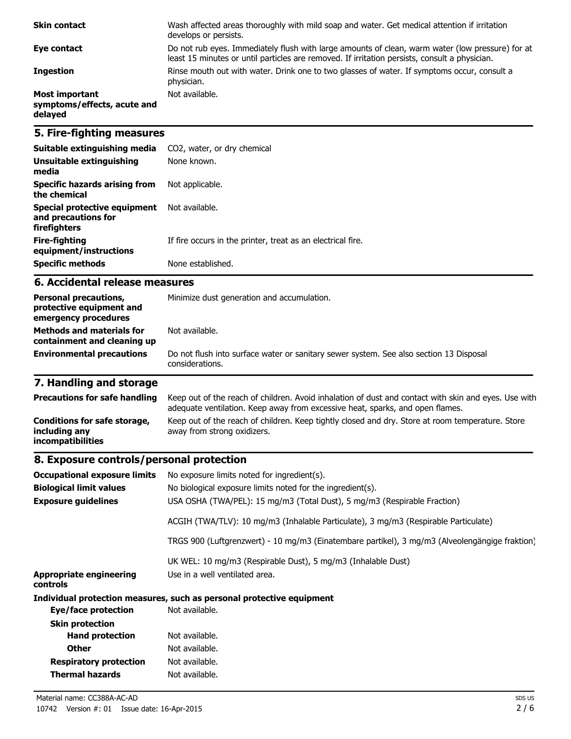| <b>Skin contact</b>                                             | Wash affected areas thoroughly with mild soap and water. Get medical attention if irritation<br>develops or persists.                                                                             |
|-----------------------------------------------------------------|---------------------------------------------------------------------------------------------------------------------------------------------------------------------------------------------------|
| Eye contact                                                     | Do not rub eyes. Immediately flush with large amounts of clean, warm water (low pressure) for at<br>least 15 minutes or until particles are removed. If irritation persists, consult a physician. |
| <b>Ingestion</b>                                                | Rinse mouth out with water. Drink one to two glasses of water. If symptoms occur, consult a<br>physician.                                                                                         |
| <b>Most important</b><br>symptoms/effects, acute and<br>delayed | Not available.                                                                                                                                                                                    |

## **5. Fire-fighting measures**

| Suitable extinguishing media                                        | CO2, water, or dry chemical                                 |
|---------------------------------------------------------------------|-------------------------------------------------------------|
| Unsuitable extinguishing<br>media                                   | None known.                                                 |
| Specific hazards arising from<br>the chemical                       | Not applicable.                                             |
| Special protective equipment<br>and precautions for<br>firefighters | Not available.                                              |
| Fire-fighting<br>equipment/instructions                             | If fire occurs in the printer, treat as an electrical fire. |
| <b>Specific methods</b>                                             | None established.                                           |

#### **6. Accidental release measures**

| <b>Personal precautions,</b><br>protective equipment and<br>emergency procedures<br><b>Methods and materials for</b> | Minimize dust generation and accumulation.<br>Not available.                                              |
|----------------------------------------------------------------------------------------------------------------------|-----------------------------------------------------------------------------------------------------------|
| containment and cleaning up                                                                                          |                                                                                                           |
| <b>Environmental precautions</b>                                                                                     | Do not flush into surface water or sanitary sewer system. See also section 13 Disposal<br>considerations. |

# **7. Handling and storage**

| <b>Precautions for safe handling</b>                               | Keep out of the reach of children. Avoid inhalation of dust and contact with skin and eyes. Use with<br>adequate ventilation. Keep away from excessive heat, sparks, and open flames. |
|--------------------------------------------------------------------|---------------------------------------------------------------------------------------------------------------------------------------------------------------------------------------|
| Conditions for safe storage,<br>including any<br>incompatibilities | Keep out of the reach of children. Keep tightly closed and dry. Store at room temperature. Store<br>away from strong oxidizers.                                                       |

## **8. Exposure controls/personal protection**

| <b>Occupational exposure limits</b>        | No exposure limits noted for ingredient(s).                                                    |
|--------------------------------------------|------------------------------------------------------------------------------------------------|
| <b>Biological limit values</b>             | No biological exposure limits noted for the ingredient(s).                                     |
| <b>Exposure guidelines</b>                 | USA OSHA (TWA/PEL): 15 mg/m3 (Total Dust), 5 mg/m3 (Respirable Fraction)                       |
|                                            | ACGIH (TWA/TLV): 10 mg/m3 (Inhalable Particulate), 3 mg/m3 (Respirable Particulate)            |
|                                            | TRGS 900 (Luftgrenzwert) - 10 mg/m3 (Einatembare partikel), 3 mg/m3 (Alveolengängige fraktion) |
|                                            | UK WEL: 10 mg/m3 (Respirable Dust), 5 mg/m3 (Inhalable Dust)                                   |
| <b>Appropriate engineering</b><br>controls | Use in a well ventilated area.                                                                 |
|                                            | Individual protection measures, such as personal protective equipment                          |
| Eye/face protection                        | Not available.                                                                                 |
| <b>Skin protection</b>                     |                                                                                                |
| <b>Hand protection</b>                     | Not available.                                                                                 |
| <b>Other</b>                               | Not available.                                                                                 |
| <b>Respiratory protection</b>              | Not available.                                                                                 |
| <b>Thermal hazards</b>                     | Not available.                                                                                 |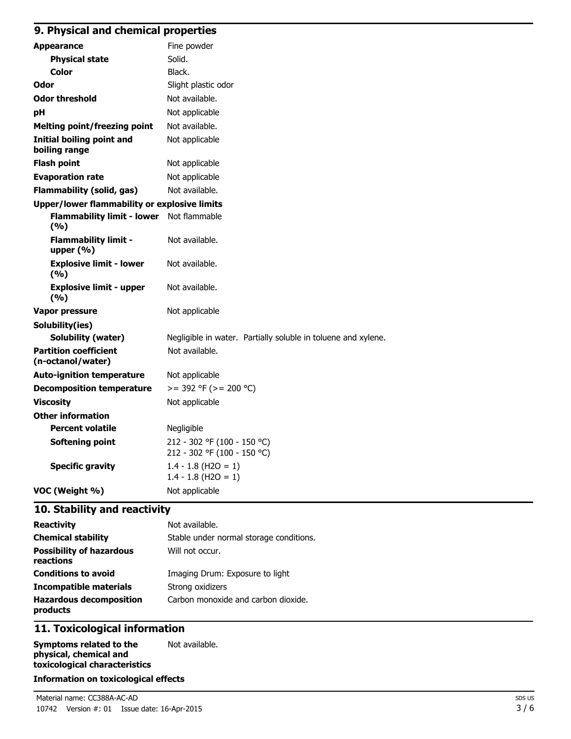## **9. Physical and chemical properties**

| <b>Appearance</b>                                   | Fine powder                                                   |  |  |  |  |
|-----------------------------------------------------|---------------------------------------------------------------|--|--|--|--|
| <b>Physical state</b>                               | Solid.                                                        |  |  |  |  |
| <b>Color</b>                                        | Black.                                                        |  |  |  |  |
| Odor                                                | Slight plastic odor                                           |  |  |  |  |
| <b>Odor threshold</b>                               | Not available.                                                |  |  |  |  |
| рH                                                  | Not applicable                                                |  |  |  |  |
| <b>Melting point/freezing point</b>                 | Not available.                                                |  |  |  |  |
| <b>Initial boiling point and</b><br>boiling range   | Not applicable                                                |  |  |  |  |
| <b>Flash point</b>                                  | Not applicable                                                |  |  |  |  |
| <b>Evaporation rate</b>                             | Not applicable                                                |  |  |  |  |
| <b>Flammability (solid, gas)</b>                    | Not available.                                                |  |  |  |  |
| <b>Upper/lower flammability or explosive limits</b> |                                                               |  |  |  |  |
| Flammability limit - lower Not flammable<br>(%)     |                                                               |  |  |  |  |
| <b>Flammability limit -</b><br>upper (%)            | Not available.                                                |  |  |  |  |
| <b>Explosive limit - lower</b><br>(%)               | Not available.                                                |  |  |  |  |
| <b>Explosive limit - upper</b><br>(%)               | Not available.                                                |  |  |  |  |
| <b>Vapor pressure</b>                               | Not applicable                                                |  |  |  |  |
| Solubility(ies)                                     |                                                               |  |  |  |  |
| <b>Solubility (water)</b>                           | Negligible in water. Partially soluble in toluene and xylene. |  |  |  |  |
| <b>Partition coefficient</b><br>(n-octanol/water)   | Not available.                                                |  |  |  |  |
| <b>Auto-ignition temperature</b>                    | Not applicable                                                |  |  |  |  |
| <b>Decomposition temperature</b>                    | $>= 392$ °F ( $>= 200$ °C)                                    |  |  |  |  |
| <b>Viscosity</b>                                    | Not applicable                                                |  |  |  |  |
| <b>Other information</b>                            |                                                               |  |  |  |  |
| <b>Percent volatile</b>                             | Negligible                                                    |  |  |  |  |
| Softening point                                     | 212 - 302 °F (100 - 150 °C)<br>212 - 302 °F (100 - 150 °C)    |  |  |  |  |
| <b>Specific gravity</b>                             | $1.4 - 1.8$ (H2O = 1)<br>$1.4 - 1.8$ (H2O = 1)                |  |  |  |  |
| VOC (Weight %)                                      | Not applicable                                                |  |  |  |  |

## **10. Stability and reactivity**

| <b>Reactivity</b>                            | Not available.                          |
|----------------------------------------------|-----------------------------------------|
| <b>Chemical stability</b>                    | Stable under normal storage conditions. |
| <b>Possibility of hazardous</b><br>reactions | Will not occur.                         |
| <b>Conditions to avoid</b>                   | Imaging Drum: Exposure to light         |
| <b>Incompatible materials</b>                | Strong oxidizers                        |
| <b>Hazardous decomposition</b><br>products   | Carbon monoxide and carbon dioxide.     |

## **11. Toxicological information**

| Symptoms related to the       | Not available. |
|-------------------------------|----------------|
| physical, chemical and        |                |
| toxicological characteristics |                |

#### **Information on toxicological effects**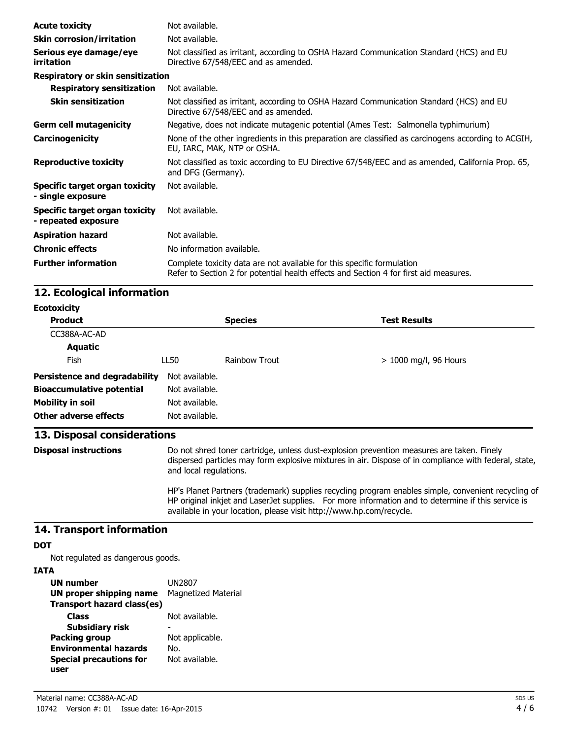| <b>Acute toxicity</b>                                 | Not available.                                                                                                                                                  |
|-------------------------------------------------------|-----------------------------------------------------------------------------------------------------------------------------------------------------------------|
| <b>Skin corrosion/irritation</b>                      | Not available.                                                                                                                                                  |
| Serious eye damage/eye<br>irritation                  | Not classified as irritant, according to OSHA Hazard Communication Standard (HCS) and EU<br>Directive 67/548/EEC and as amended.                                |
| Respiratory or skin sensitization                     |                                                                                                                                                                 |
| <b>Respiratory sensitization</b>                      | Not available.                                                                                                                                                  |
| <b>Skin sensitization</b>                             | Not classified as irritant, according to OSHA Hazard Communication Standard (HCS) and EU<br>Directive 67/548/EEC and as amended.                                |
| <b>Germ cell mutagenicity</b>                         | Negative, does not indicate mutagenic potential (Ames Test: Salmonella typhimurium)                                                                             |
| Carcinogenicity                                       | None of the other ingredients in this preparation are classified as carcinogens according to ACGIH,<br>EU, IARC, MAK, NTP or OSHA.                              |
| <b>Reproductive toxicity</b>                          | Not classified as toxic according to EU Directive 67/548/EEC and as amended, California Prop. 65,<br>and DFG (Germany).                                         |
| Specific target organ toxicity<br>- single exposure   | Not available.                                                                                                                                                  |
| Specific target organ toxicity<br>- repeated exposure | Not available.                                                                                                                                                  |
| <b>Aspiration hazard</b>                              | Not available.                                                                                                                                                  |
| <b>Chronic effects</b>                                | No information available.                                                                                                                                       |
| <b>Further information</b>                            | Complete toxicity data are not available for this specific formulation<br>Refer to Section 2 for potential health effects and Section 4 for first aid measures. |

## **12. Ecological information**

| <b>Ecotoxicity</b>                   |                |                |                         |  |
|--------------------------------------|----------------|----------------|-------------------------|--|
| <b>Product</b>                       |                | <b>Species</b> | <b>Test Results</b>     |  |
| CC388A-AC-AD                         |                |                |                         |  |
| <b>Aquatic</b>                       |                |                |                         |  |
| Fish                                 | LL50           | Rainbow Trout  | $> 1000$ mg/l, 96 Hours |  |
| <b>Persistence and degradability</b> | Not available. |                |                         |  |
| <b>Bioaccumulative potential</b>     | Not available. |                |                         |  |
| <b>Mobility in soil</b>              | Not available. |                |                         |  |
| <b>Other adverse effects</b>         | Not available. |                |                         |  |

## **13. Disposal considerations**

**Disposal instructions** Do not shred toner cartridge, unless dust-explosion prevention measures are taken. Finely dispersed particles may form explosive mixtures in air. Dispose of in compliance with federal, state, and local regulations.

> HP's Planet Partners (trademark) supplies recycling program enables simple, convenient recycling of HP original inkjet and LaserJet supplies. For more information and to determine if this service is available in your location, please visit http://www.hp.com/recycle.

#### **14. Transport information**

#### **DOT**

Not regulated as dangerous goods.

### **IATA**

| <b>UN number</b>               | UN2807                     |
|--------------------------------|----------------------------|
| <b>UN proper shipping name</b> | <b>Magnetized Material</b> |
| Transport hazard class(es)     |                            |
| <b>Class</b>                   | Not available.             |
| <b>Subsidiary risk</b>         |                            |
| <b>Packing group</b>           | Not applicable.            |
| <b>Environmental hazards</b>   | No.                        |
| <b>Special precautions for</b> | Not available.             |
| user                           |                            |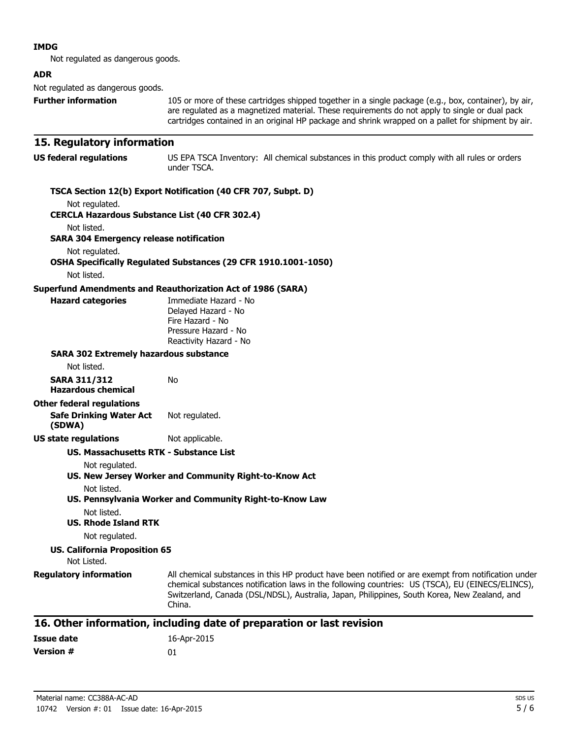#### **IMDG**

Not regulated as dangerous goods.

#### **ADR**

Not regulated as dangerous goods.

**Further information** 105 or more of these cartridges shipped together in a single package (e.g., box, container), by air, are regulated as a magnetized material. These requirements do not apply to single or dual pack cartridges contained in an original HP package and shrink wrapped on a pallet for shipment by air.

#### **15. Regulatory information**

| US federal regulations                                        | US EPA TSCA Inventory: All chemical substances in this product comply with all rules or orders<br>under TSCA. |  |  |  |
|---------------------------------------------------------------|---------------------------------------------------------------------------------------------------------------|--|--|--|
| TSCA Section 12(b) Export Notification (40 CFR 707, Subpt. D) |                                                                                                               |  |  |  |

Not regulated.

**CERCLA Hazardous Substance List (40 CFR 302.4)**

Not listed.

**SARA 304 Emergency release notification**

Not regulated.

## **OSHA Specifically Regulated Substances (29 CFR 1910.1001-1050)**

Not listed.

**Hazard categories** 

#### **Superfund Amendments and Reauthorization Act of 1986 (SARA)**

| Immediate Hazard - No  |  |
|------------------------|--|
| Delayed Hazard - No    |  |
| Fire Hazard - No       |  |
| Pressure Hazard - No   |  |
| Reactivity Hazard - No |  |
|                        |  |

#### **SARA 302 Extremely hazardous substance**

Not listed.

| SARA 311/312       | No |
|--------------------|----|
| Hazardous chemical |    |

#### **Other federal regulations**

**Safe Drinking Water Act (SDWA)** Not regulated.

#### **US state regulations** Not applicable.

#### **US. Massachusetts RTK - Substance List**

Not regulated.

**US. New Jersey Worker and Community Right-to-Know Act**

Not listed.

#### **US. Pennsylvania Worker and Community Right-to-Know Law** Not listed.

**US. Rhode Island RTK**

Not regulated.

#### **US. California Proposition 65**

Not Listed.

**Regulatory information** All chemical substances in this HP product have been notified or are exempt from notification under chemical substances notification laws in the following countries: US (TSCA), EU (EINECS/ELINCS), Switzerland, Canada (DSL/NDSL), Australia, Japan, Philippines, South Korea, New Zealand, and China.

#### **16. Other information, including date of preparation or last revision**

| Issue date       | 16-Apr-2015 |
|------------------|-------------|
| <b>Version #</b> | 01          |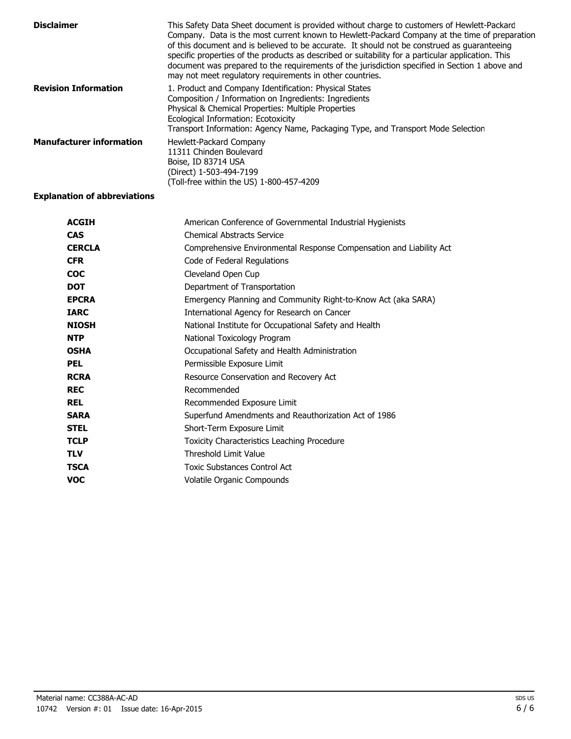| <b>Disclaimer</b>               | This Safety Data Sheet document is provided without charge to customers of Hewlett-Packard<br>Company. Data is the most current known to Hewlett-Packard Company at the time of preparation<br>of this document and is believed to be accurate. It should not be construed as quaranteeing<br>specific properties of the products as described or suitability for a particular application. This<br>document was prepared to the requirements of the jurisdiction specified in Section 1 above and<br>may not meet regulatory requirements in other countries. |
|---------------------------------|----------------------------------------------------------------------------------------------------------------------------------------------------------------------------------------------------------------------------------------------------------------------------------------------------------------------------------------------------------------------------------------------------------------------------------------------------------------------------------------------------------------------------------------------------------------|
| <b>Revision Information</b>     | 1. Product and Company Identification: Physical States<br>Composition / Information on Ingredients: Ingredients<br>Physical & Chemical Properties: Multiple Properties<br>Ecological Information: Ecotoxicity<br>Transport Information: Agency Name, Packaging Type, and Transport Mode Selection                                                                                                                                                                                                                                                              |
| <b>Manufacturer information</b> | Hewlett-Packard Company<br>11311 Chinden Boulevard<br>Boise, ID 83714 USA<br>(Direct) 1-503-494-7199<br>(Toll-free within the US) 1-800-457-4209                                                                                                                                                                                                                                                                                                                                                                                                               |

#### **Explanation of abbreviations**

| <b>ACGIH</b>  | American Conference of Governmental Industrial Hygienists           |
|---------------|---------------------------------------------------------------------|
| <b>CAS</b>    | <b>Chemical Abstracts Service</b>                                   |
| <b>CERCLA</b> | Comprehensive Environmental Response Compensation and Liability Act |
| <b>CFR</b>    | Code of Federal Regulations                                         |
| <b>COC</b>    | Cleveland Open Cup                                                  |
| <b>DOT</b>    | Department of Transportation                                        |
| <b>EPCRA</b>  | Emergency Planning and Community Right-to-Know Act (aka SARA)       |
| <b>IARC</b>   | International Agency for Research on Cancer                         |
| <b>NIOSH</b>  | National Institute for Occupational Safety and Health               |
| <b>NTP</b>    | National Toxicology Program                                         |
| <b>OSHA</b>   | Occupational Safety and Health Administration                       |
| <b>PEL</b>    | Permissible Exposure Limit                                          |
| <b>RCRA</b>   | Resource Conservation and Recovery Act                              |
| <b>REC</b>    | Recommended                                                         |
| <b>REL</b>    | Recommended Exposure Limit                                          |
| <b>SARA</b>   | Superfund Amendments and Reauthorization Act of 1986                |
| <b>STEL</b>   | Short-Term Exposure Limit                                           |
| <b>TCLP</b>   | <b>Toxicity Characteristics Leaching Procedure</b>                  |
| <b>TLV</b>    | Threshold Limit Value                                               |
| <b>TSCA</b>   | Toxic Substances Control Act                                        |
| <b>VOC</b>    | Volatile Organic Compounds                                          |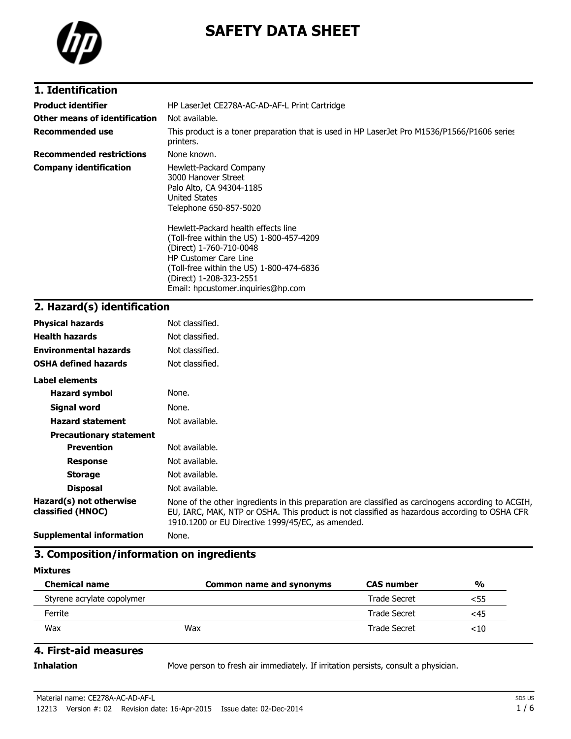

# **SAFETY DATA SHEET**

## **1. Identification**

| <b>Product identifier</b>       | HP LaserJet CE278A-AC-AD-AF-L Print Cartridge                                                                                                                                                                                                                                                                                                                                           |
|---------------------------------|-----------------------------------------------------------------------------------------------------------------------------------------------------------------------------------------------------------------------------------------------------------------------------------------------------------------------------------------------------------------------------------------|
| Other means of identification   | Not available.                                                                                                                                                                                                                                                                                                                                                                          |
| <b>Recommended use</b>          | This product is a toner preparation that is used in HP LaserJet Pro M1536/P1566/P1606 series<br>printers.                                                                                                                                                                                                                                                                               |
| <b>Recommended restrictions</b> | None known.                                                                                                                                                                                                                                                                                                                                                                             |
| <b>Company identification</b>   | Hewlett-Packard Company<br>3000 Hanover Street<br>Palo Alto, CA 94304-1185<br><b>United States</b><br>Telephone 650-857-5020<br>Hewlett-Packard health effects line<br>(Toll-free within the US) 1-800-457-4209<br>(Direct) 1-760-710-0048<br><b>HP Customer Care Line</b><br>(Toll-free within the US) 1-800-474-6836<br>(Direct) 1-208-323-2551<br>Email: hpcustomer.inguiries@hp.com |

# **2. Hazard(s) identification**

| <b>Physical hazards</b>                      | Not classified.                                                                                                                                                                                                                                           |
|----------------------------------------------|-----------------------------------------------------------------------------------------------------------------------------------------------------------------------------------------------------------------------------------------------------------|
| <b>Health hazards</b>                        | Not classified.                                                                                                                                                                                                                                           |
| <b>Environmental hazards</b>                 | Not classified.                                                                                                                                                                                                                                           |
| <b>OSHA defined hazards</b>                  | Not classified.                                                                                                                                                                                                                                           |
| Label elements                               |                                                                                                                                                                                                                                                           |
| <b>Hazard symbol</b>                         | None.                                                                                                                                                                                                                                                     |
| Signal word                                  | None.                                                                                                                                                                                                                                                     |
| <b>Hazard statement</b>                      | Not available.                                                                                                                                                                                                                                            |
| <b>Precautionary statement</b>               |                                                                                                                                                                                                                                                           |
| <b>Prevention</b>                            | Not available.                                                                                                                                                                                                                                            |
| <b>Response</b>                              | Not available.                                                                                                                                                                                                                                            |
| <b>Storage</b>                               | Not available.                                                                                                                                                                                                                                            |
| <b>Disposal</b>                              | Not available.                                                                                                                                                                                                                                            |
| Hazard(s) not otherwise<br>classified (HNOC) | None of the other ingredients in this preparation are classified as carcinogens according to ACGIH,<br>EU, IARC, MAK, NTP or OSHA. This product is not classified as hazardous according to OSHA CFR<br>1910.1200 or EU Directive 1999/45/EC, as amended. |
| <b>Supplemental information</b>              | None.                                                                                                                                                                                                                                                     |

### **3. Composition/information on ingredients**

#### **Mixtures**

| <b>Chemical name</b>       | <b>Common name and synonyms</b> | <b>CAS number</b> | $\frac{0}{0}$ |
|----------------------------|---------------------------------|-------------------|---------------|
| Styrene acrylate copolymer |                                 | Trade Secret      | <55           |
| Ferrite                    |                                 | Trade Secret      | <45           |
| Wax                        | Wax                             | Trade Secret      | <10           |

### **4. First-aid measures**

**Inhalation** Move person to fresh air immediately. If irritation persists, consult a physician.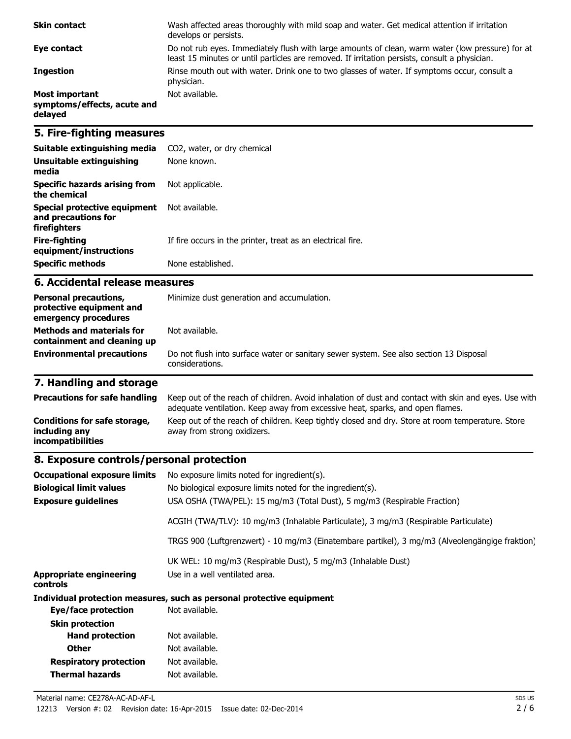| <b>Skin contact</b>                                             | Wash affected areas thoroughly with mild soap and water. Get medical attention if irritation<br>develops or persists.                                                                             |
|-----------------------------------------------------------------|---------------------------------------------------------------------------------------------------------------------------------------------------------------------------------------------------|
| Eye contact                                                     | Do not rub eyes. Immediately flush with large amounts of clean, warm water (low pressure) for at<br>least 15 minutes or until particles are removed. If irritation persists, consult a physician. |
| <b>Ingestion</b>                                                | Rinse mouth out with water. Drink one to two glasses of water. If symptoms occur, consult a<br>physician.                                                                                         |
| <b>Most important</b><br>symptoms/effects, acute and<br>delayed | Not available.                                                                                                                                                                                    |

## **5. Fire-fighting measures**

| Suitable extinguishing media                                        | CO2, water, or dry chemical                                 |
|---------------------------------------------------------------------|-------------------------------------------------------------|
| Unsuitable extinguishing<br>media                                   | None known.                                                 |
| Specific hazards arising from<br>the chemical                       | Not applicable.                                             |
| Special protective equipment<br>and precautions for<br>firefighters | Not available.                                              |
| Fire-fighting<br>equipment/instructions                             | If fire occurs in the printer, treat as an electrical fire. |
| <b>Specific methods</b>                                             | None established.                                           |

#### **6. Accidental release measures**

| <b>Personal precautions,</b><br>protective equipment and<br>emergency procedures<br><b>Methods and materials for</b> | Minimize dust generation and accumulation.<br>Not available.                                              |  |
|----------------------------------------------------------------------------------------------------------------------|-----------------------------------------------------------------------------------------------------------|--|
| containment and cleaning up                                                                                          |                                                                                                           |  |
| <b>Environmental precautions</b>                                                                                     | Do not flush into surface water or sanitary sewer system. See also section 13 Disposal<br>considerations. |  |

# **7. Handling and storage**

| <b>Precautions for safe handling</b>                               | Keep out of the reach of children. Avoid inhalation of dust and contact with skin and eyes. Use with<br>adequate ventilation. Keep away from excessive heat, sparks, and open flames. |
|--------------------------------------------------------------------|---------------------------------------------------------------------------------------------------------------------------------------------------------------------------------------|
| Conditions for safe storage,<br>including any<br>incompatibilities | Keep out of the reach of children. Keep tightly closed and dry. Store at room temperature. Store<br>away from strong oxidizers.                                                       |

# **8. Exposure controls/personal protection**

| <b>Occupational exposure limits</b>        | No exposure limits noted for ingredient(s).                                                    |
|--------------------------------------------|------------------------------------------------------------------------------------------------|
| <b>Biological limit values</b>             | No biological exposure limits noted for the ingredient(s).                                     |
| <b>Exposure quidelines</b>                 | USA OSHA (TWA/PEL): 15 mg/m3 (Total Dust), 5 mg/m3 (Respirable Fraction)                       |
|                                            | ACGIH (TWA/TLV): 10 mg/m3 (Inhalable Particulate), 3 mg/m3 (Respirable Particulate)            |
|                                            | TRGS 900 (Luftgrenzwert) - 10 mg/m3 (Einatembare partikel), 3 mg/m3 (Alveolengängige fraktion) |
|                                            | UK WEL: 10 mg/m3 (Respirable Dust), 5 mg/m3 (Inhalable Dust)                                   |
| <b>Appropriate engineering</b><br>controls | Use in a well ventilated area.                                                                 |
|                                            | Individual protection measures, such as personal protective equipment                          |
| Eye/face protection                        | Not available.                                                                                 |
| <b>Skin protection</b>                     |                                                                                                |
| <b>Hand protection</b>                     | Not available.                                                                                 |
| <b>Other</b>                               | Not available.                                                                                 |
| <b>Respiratory protection</b>              | Not available.                                                                                 |
| Thermal hazards                            | Not available.                                                                                 |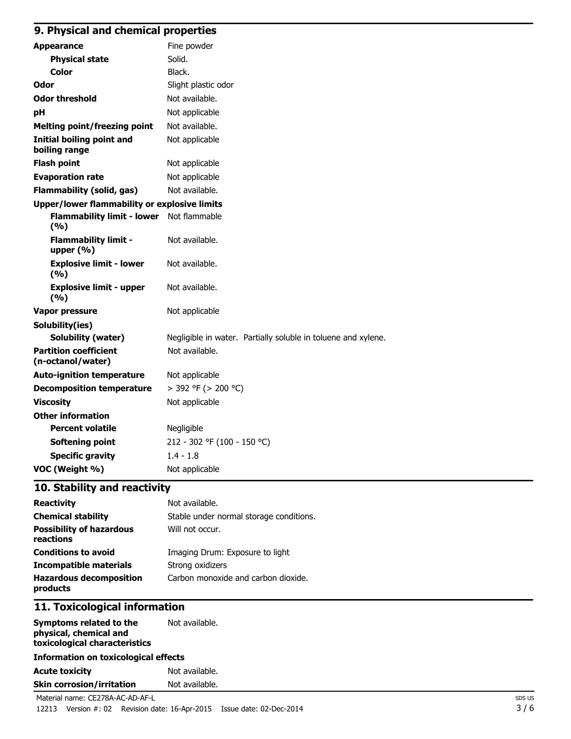## **9. Physical and chemical properties**

| <b>Appearance</b>                                   | Fine powder                                                   |
|-----------------------------------------------------|---------------------------------------------------------------|
| <b>Physical state</b>                               | Solid.                                                        |
| Color                                               | Black.                                                        |
| Odor                                                | Slight plastic odor                                           |
| <b>Odor threshold</b>                               | Not available.                                                |
| pH                                                  | Not applicable                                                |
| <b>Melting point/freezing point</b>                 | Not available.                                                |
| <b>Initial boiling point and</b><br>boiling range   | Not applicable                                                |
| <b>Flash point</b>                                  | Not applicable                                                |
| <b>Evaporation rate</b>                             | Not applicable                                                |
| <b>Flammability (solid, gas)</b>                    | Not available.                                                |
| <b>Upper/lower flammability or explosive limits</b> |                                                               |
| Flammability limit - lower Not flammable<br>(%)     |                                                               |
| <b>Flammability limit -</b><br>upper $(% )$         | Not available.                                                |
| <b>Explosive limit - lower</b><br>(%)               | Not available.                                                |
| <b>Explosive limit - upper</b><br>(9/6)             | Not available.                                                |
| <b>Vapor pressure</b>                               | Not applicable                                                |
| Solubility(ies)                                     |                                                               |
| <b>Solubility (water)</b>                           | Negligible in water. Partially soluble in toluene and xylene. |
| <b>Partition coefficient</b><br>(n-octanol/water)   | Not available.                                                |
| <b>Auto-ignition temperature</b>                    | Not applicable                                                |
| <b>Decomposition temperature</b>                    | > 392 °F (> 200 °C)                                           |
| <b>Viscosity</b>                                    | Not applicable                                                |
| <b>Other information</b>                            |                                                               |
| <b>Percent volatile</b>                             | Negligible                                                    |
| <b>Softening point</b>                              | 212 - 302 °F (100 - 150 °C)                                   |
| <b>Specific gravity</b>                             | $1.4 - 1.8$                                                   |
| VOC (Weight %)                                      | Not applicable                                                |

## **10. Stability and reactivity**

| <b>Reactivity</b>                            | Not available.                          |
|----------------------------------------------|-----------------------------------------|
| <b>Chemical stability</b>                    | Stable under normal storage conditions. |
| <b>Possibility of hazardous</b><br>reactions | Will not occur.                         |
| <b>Conditions to avoid</b>                   | Imaging Drum: Exposure to light         |
| <b>Incompatible materials</b>                | Strong oxidizers                        |
| <b>Hazardous decomposition</b><br>products   | Carbon monoxide and carbon dioxide.     |

## **11. Toxicological information**

| Symptoms related to the<br>physical, chemical and<br>toxicological characteristics                                                                                                                                                                                                                                                        | Not available. |
|-------------------------------------------------------------------------------------------------------------------------------------------------------------------------------------------------------------------------------------------------------------------------------------------------------------------------------------------|----------------|
| <b>Information on toxicological effects</b>                                                                                                                                                                                                                                                                                               |                |
| <b>Acute toxicity</b>                                                                                                                                                                                                                                                                                                                     | Not available. |
| <b>Skin corrosion/irritation</b>                                                                                                                                                                                                                                                                                                          | Not available. |
| $\mathbf{M}$ , $\mathbf{M}$ , $\mathbf{M}$ , $\mathbf{M}$ , $\mathbf{M}$ , $\mathbf{M}$ , $\mathbf{M}$ , $\mathbf{M}$ , $\mathbf{M}$ , $\mathbf{M}$ , $\mathbf{M}$ , $\mathbf{M}$ , $\mathbf{M}$ , $\mathbf{M}$ , $\mathbf{M}$ , $\mathbf{M}$ , $\mathbf{M}$ , $\mathbf{M}$ , $\mathbf{M}$ , $\mathbf{M}$ , $\mathbf{M}$ , $\mathbf{M}$ , |                |

Material name: CE278A-AC-AD-AF-L 12213 Version #: 02 Revision date: 16-Apr-2015 Issue date: 02-Dec-2014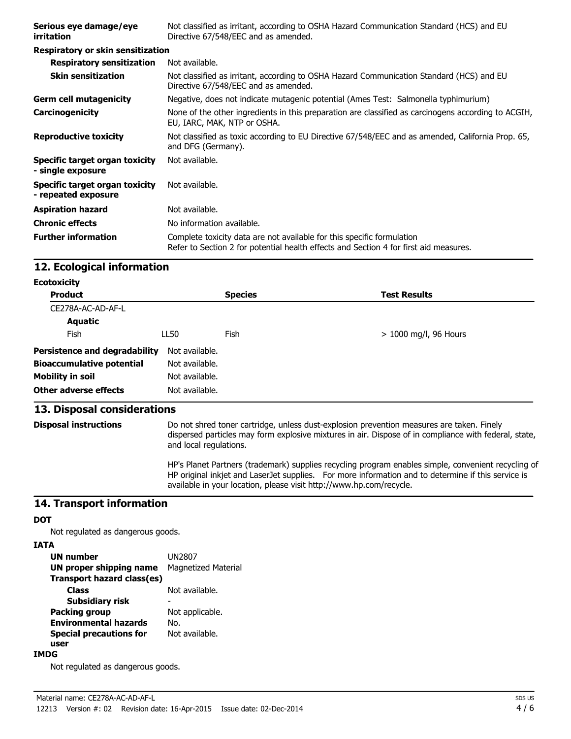| Serious eye damage/eye<br>irritation                       | Not classified as irritant, according to OSHA Hazard Communication Standard (HCS) and EU<br>Directive 67/548/EEC and as amended.                                |
|------------------------------------------------------------|-----------------------------------------------------------------------------------------------------------------------------------------------------------------|
| Respiratory or skin sensitization                          |                                                                                                                                                                 |
| <b>Respiratory sensitization</b>                           | Not available.                                                                                                                                                  |
| <b>Skin sensitization</b>                                  | Not classified as irritant, according to OSHA Hazard Communication Standard (HCS) and EU<br>Directive 67/548/EEC and as amended.                                |
| <b>Germ cell mutagenicity</b>                              | Negative, does not indicate mutagenic potential (Ames Test: Salmonella typhimurium)                                                                             |
| <b>Carcinogenicity</b>                                     | None of the other ingredients in this preparation are classified as carcinogens according to ACGIH,<br>EU, IARC, MAK, NTP or OSHA.                              |
| <b>Reproductive toxicity</b>                               | Not classified as toxic according to EU Directive 67/548/EEC and as amended, California Prop. 65,<br>and DFG (Germany).                                         |
| <b>Specific target organ toxicity</b><br>- single exposure | Not available.                                                                                                                                                  |
| Specific target organ toxicity<br>- repeated exposure      | Not available.                                                                                                                                                  |
| <b>Aspiration hazard</b>                                   | Not available.                                                                                                                                                  |
| <b>Chronic effects</b>                                     | No information available.                                                                                                                                       |
| <b>Further information</b>                                 | Complete toxicity data are not available for this specific formulation<br>Refer to Section 2 for potential health effects and Section 4 for first aid measures. |

#### **12. Ecological information**

| <b>Ecotoxicity</b> |  |
|--------------------|--|
|--------------------|--|

| <b>Product</b>                       |                | <b>Species</b> | <b>Test Results</b>     |
|--------------------------------------|----------------|----------------|-------------------------|
| CE278A-AC-AD-AF-L                    |                |                |                         |
| <b>Aquatic</b>                       |                |                |                         |
| Fish                                 | LL50           | Fish           | $> 1000$ mg/l, 96 Hours |
| <b>Persistence and degradability</b> | Not available. |                |                         |
| <b>Bioaccumulative potential</b>     | Not available. |                |                         |
| <b>Mobility in soil</b>              | Not available. |                |                         |
| <b>Other adverse effects</b>         | Not available. |                |                         |

#### **13. Disposal considerations**

**Disposal instructions** Do not shred toner cartridge, unless dust-explosion prevention measures are taken. Finely dispersed particles may form explosive mixtures in air. Dispose of in compliance with federal, state, and local regulations.

> HP's Planet Partners (trademark) supplies recycling program enables simple, convenient recycling of HP original inkjet and LaserJet supplies. For more information and to determine if this service is available in your location, please visit http://www.hp.com/recycle.

#### **14. Transport information**

#### **DOT**

Not regulated as dangerous goods.

#### **IATA**

| <b>UN number</b>               | <b>UN2807</b>              |
|--------------------------------|----------------------------|
| UN proper shipping name        | <b>Magnetized Material</b> |
| Transport hazard class(es)     |                            |
| Class                          | Not available.             |
| <b>Subsidiary risk</b>         |                            |
| <b>Packing group</b>           | Not applicable.            |
| <b>Environmental hazards</b>   | No.                        |
| <b>Special precautions for</b> | Not available.             |
| user                           |                            |

#### **IMDG**

Not regulated as dangerous goods.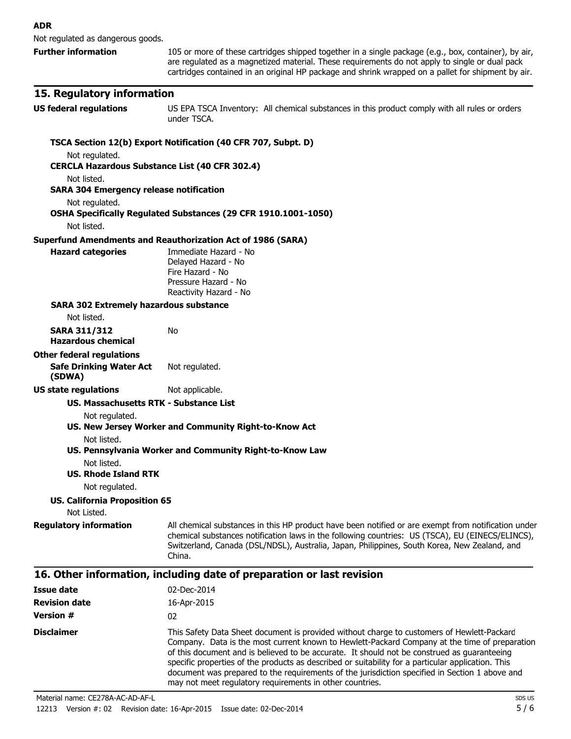Not regulated as dangerous goods.

**Further information** 105 or more of these cartridges shipped together in a single package (e.g., box, container), by air, are regulated as a magnetized material. These requirements do not apply to single or dual pack cartridges contained in an original HP package and shrink wrapped on a pallet for shipment by air.

#### **15. Regulatory information**

**US federal regulations** US EPA TSCA Inventory: All chemical substances in this product comply with all rules or orders under TSCA.

document was prepared to the requirements of the jurisdiction specified in Section 1 above and

#### **TSCA Section 12(b) Export Notification (40 CFR 707, Subpt. D)** Not regulated. **CERCLA Hazardous Substance List (40 CFR 302.4)** Not listed. **SARA 304 Emergency release notification** Not regulated. **OSHA Specifically Regulated Substances (29 CFR 1910.1001-1050)** Not listed. **Superfund Amendments and Reauthorization Act of 1986 (SARA) Hazard categories** Immediate Hazard - No Delayed Hazard - No Fire Hazard - No Pressure Hazard - No Reactivity Hazard - No **SARA 302 Extremely hazardous substance** Not listed. **SARA 311/312 Hazardous chemical** No **Other federal regulations Safe Drinking Water Act (SDWA)** Not regulated. **US state regulations** Not applicable. **US. Massachusetts RTK - Substance List** Not regulated. **US. New Jersey Worker and Community Right-to-Know Act** Not listed. **US. Pennsylvania Worker and Community Right-to-Know Law** Not listed. **US. Rhode Island RTK** Not regulated. **US. California Proposition 65** Not Listed. **Requiatory information** All chemical substances in this HP product have been notified or are exempt from notification under chemical substances notification laws in the following countries: US (TSCA), EU (EINECS/ELINCS), Switzerland, Canada (DSL/NDSL), Australia, Japan, Philippines, South Korea, New Zealand, and China. **16. Other information, including date of preparation or last revision Issue date** 02-Dec-2014 **Revision date** 16-Apr-2015 **Version #** 02 **Disclaimer** This Safety Data Sheet document is provided without charge to customers of Hewlett-Packard Company. Data is the most current known to Hewlett-Packard Company at the time of preparation of this document and is believed to be accurate. It should not be construed as guaranteeing specific properties of the products as described or suitability for a particular application. This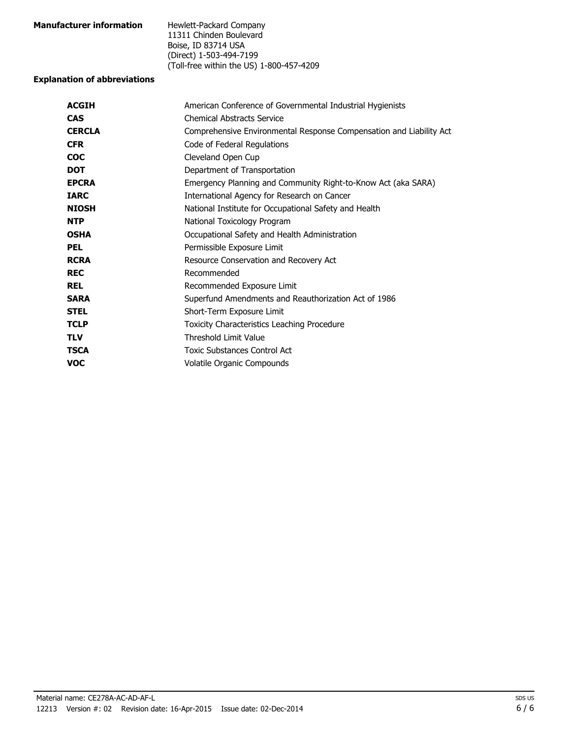| <b>Manufacturer information</b> | Hewlett-Packard Company                  |
|---------------------------------|------------------------------------------|
|                                 | 11311 Chinden Boulevard                  |
|                                 | Boise, ID 83714 USA                      |
|                                 | (Direct) 1-503-494-7199                  |
|                                 | (Toll-free within the US) 1-800-457-4209 |

## **Explanation of abbreviations**

| <b>ACGIH</b>  | American Conference of Governmental Industrial Hygienists           |
|---------------|---------------------------------------------------------------------|
| <b>CAS</b>    | <b>Chemical Abstracts Service</b>                                   |
| <b>CERCLA</b> | Comprehensive Environmental Response Compensation and Liability Act |
| <b>CFR</b>    | Code of Federal Regulations                                         |
| <b>COC</b>    | Cleveland Open Cup                                                  |
| <b>DOT</b>    | Department of Transportation                                        |
| <b>EPCRA</b>  | Emergency Planning and Community Right-to-Know Act (aka SARA)       |
| <b>IARC</b>   | International Agency for Research on Cancer                         |
| <b>NIOSH</b>  | National Institute for Occupational Safety and Health               |
| <b>NTP</b>    | National Toxicology Program                                         |
| <b>OSHA</b>   | Occupational Safety and Health Administration                       |
| <b>PEL</b>    | Permissible Exposure Limit                                          |
| <b>RCRA</b>   | Resource Conservation and Recovery Act                              |
| <b>REC</b>    | Recommended                                                         |
| <b>REL</b>    | Recommended Exposure Limit                                          |
| <b>SARA</b>   | Superfund Amendments and Reauthorization Act of 1986                |
| <b>STEL</b>   | Short-Term Exposure Limit                                           |
| <b>TCLP</b>   | <b>Toxicity Characteristics Leaching Procedure</b>                  |
| <b>TLV</b>    | <b>Threshold Limit Value</b>                                        |
| <b>TSCA</b>   | Toxic Substances Control Act                                        |
| <b>VOC</b>    | Volatile Organic Compounds                                          |
|               |                                                                     |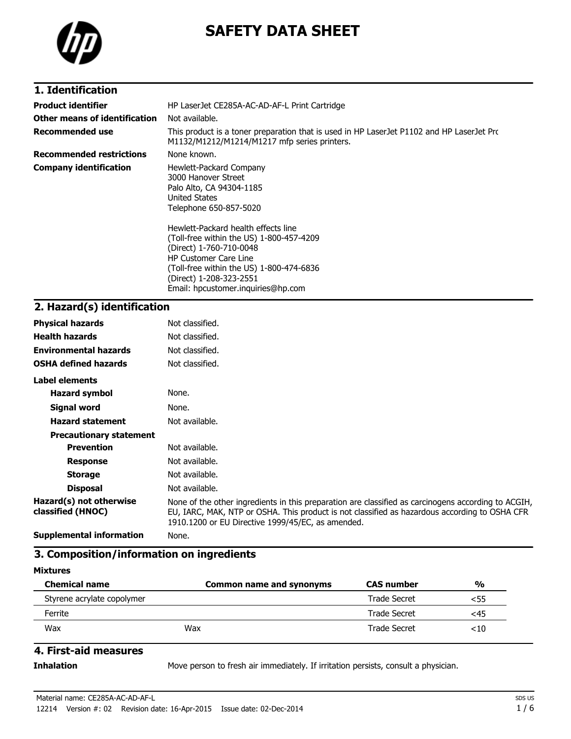

# **SAFETY DATA SHEET**

## **1. Identification**

| <b>Product identifier</b>       | HP LaserJet CE285A-AC-AD-AF-L Print Cartridge                                                                                                                                                                                                                                                                                                                                           |
|---------------------------------|-----------------------------------------------------------------------------------------------------------------------------------------------------------------------------------------------------------------------------------------------------------------------------------------------------------------------------------------------------------------------------------------|
| Other means of identification   | Not available.                                                                                                                                                                                                                                                                                                                                                                          |
| Recommended use                 | This product is a toner preparation that is used in HP LaserJet P1102 and HP LaserJet Prc<br>M1132/M1212/M1214/M1217 mfp series printers.                                                                                                                                                                                                                                               |
| <b>Recommended restrictions</b> | None known.                                                                                                                                                                                                                                                                                                                                                                             |
| <b>Company identification</b>   | Hewlett-Packard Company<br>3000 Hanover Street<br>Palo Alto, CA 94304-1185<br><b>United States</b><br>Telephone 650-857-5020<br>Hewlett-Packard health effects line<br>(Toll-free within the US) 1-800-457-4209<br>(Direct) 1-760-710-0048<br><b>HP Customer Care Line</b><br>(Toll-free within the US) 1-800-474-6836<br>(Direct) 1-208-323-2551<br>Email: hpcustomer.inguiries@hp.com |

## **2. Hazard(s) identification**

| <b>Physical hazards</b>                      | Not classified.                                                                                                                                                                                                                                           |
|----------------------------------------------|-----------------------------------------------------------------------------------------------------------------------------------------------------------------------------------------------------------------------------------------------------------|
| <b>Health hazards</b>                        | Not classified.                                                                                                                                                                                                                                           |
| <b>Environmental hazards</b>                 | Not classified.                                                                                                                                                                                                                                           |
| <b>OSHA defined hazards</b>                  | Not classified.                                                                                                                                                                                                                                           |
| Label elements                               |                                                                                                                                                                                                                                                           |
| <b>Hazard symbol</b>                         | None.                                                                                                                                                                                                                                                     |
| Signal word                                  | None.                                                                                                                                                                                                                                                     |
| <b>Hazard statement</b>                      | Not available.                                                                                                                                                                                                                                            |
| <b>Precautionary statement</b>               |                                                                                                                                                                                                                                                           |
| <b>Prevention</b>                            | Not available.                                                                                                                                                                                                                                            |
| <b>Response</b>                              | Not available.                                                                                                                                                                                                                                            |
| <b>Storage</b>                               | Not available.                                                                                                                                                                                                                                            |
| <b>Disposal</b>                              | Not available.                                                                                                                                                                                                                                            |
| Hazard(s) not otherwise<br>classified (HNOC) | None of the other ingredients in this preparation are classified as carcinogens according to ACGIH,<br>EU, IARC, MAK, NTP or OSHA. This product is not classified as hazardous according to OSHA CFR<br>1910.1200 or EU Directive 1999/45/EC, as amended. |
| <b>Supplemental information</b>              | None.                                                                                                                                                                                                                                                     |

### **3. Composition/information on ingredients**

#### **Mixtures**

| <b>Chemical name</b>       | Common name and synonyms | <b>CAS number</b>   | %   |
|----------------------------|--------------------------|---------------------|-----|
| Styrene acrylate copolymer |                          | Trade Secret        | <55 |
| Ferrite                    |                          | <b>Trade Secret</b> | <45 |
| Wax                        | Wax                      | Trade Secret        | <10 |

### **4. First-aid measures**

**Inhalation** Move person to fresh air immediately. If irritation persists, consult a physician.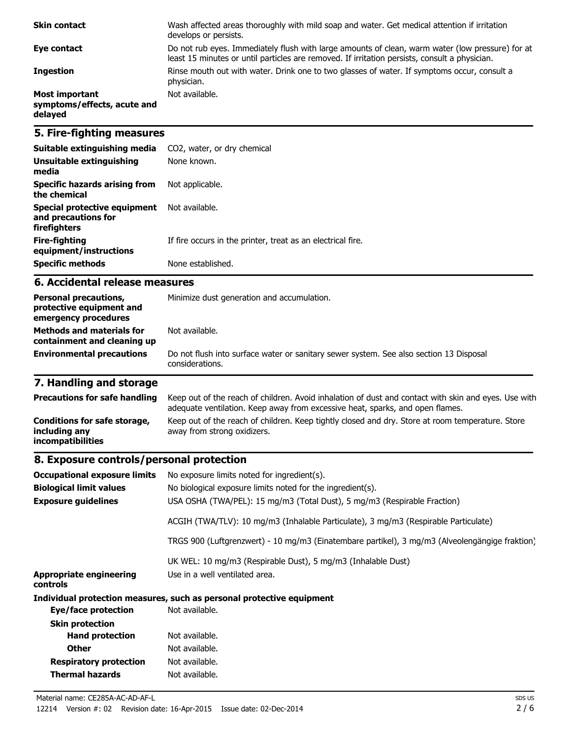| <b>Skin contact</b>                                             | Wash affected areas thoroughly with mild soap and water. Get medical attention if irritation<br>develops or persists.                                                                             |
|-----------------------------------------------------------------|---------------------------------------------------------------------------------------------------------------------------------------------------------------------------------------------------|
| Eye contact                                                     | Do not rub eyes. Immediately flush with large amounts of clean, warm water (low pressure) for at<br>least 15 minutes or until particles are removed. If irritation persists, consult a physician. |
| <b>Ingestion</b>                                                | Rinse mouth out with water. Drink one to two glasses of water. If symptoms occur, consult a<br>physician.                                                                                         |
| <b>Most important</b><br>symptoms/effects, acute and<br>delayed | Not available.                                                                                                                                                                                    |

## **5. Fire-fighting measures**

| Suitable extinguishing media                                        | CO2, water, or dry chemical                                 |
|---------------------------------------------------------------------|-------------------------------------------------------------|
| Unsuitable extinguishing<br>media                                   | None known.                                                 |
| Specific hazards arising from<br>the chemical                       | Not applicable.                                             |
| Special protective equipment<br>and precautions for<br>firefighters | Not available.                                              |
| Fire-fighting<br>equipment/instructions                             | If fire occurs in the printer, treat as an electrical fire. |
| <b>Specific methods</b>                                             | None established.                                           |

#### **6. Accidental release measures**

| <b>Personal precautions,</b><br>protective equipment and<br>emergency procedures | Minimize dust generation and accumulation.                                                                |
|----------------------------------------------------------------------------------|-----------------------------------------------------------------------------------------------------------|
| <b>Methods and materials for</b><br>containment and cleaning up                  | Not available.                                                                                            |
| <b>Environmental precautions</b>                                                 | Do not flush into surface water or sanitary sewer system. See also section 13 Disposal<br>considerations. |

# **7. Handling and storage**

| <b>Precautions for safe handling</b>                               | Keep out of the reach of children. Avoid inhalation of dust and contact with skin and eyes. Use with<br>adequate ventilation. Keep away from excessive heat, sparks, and open flames. |
|--------------------------------------------------------------------|---------------------------------------------------------------------------------------------------------------------------------------------------------------------------------------|
| Conditions for safe storage,<br>including any<br>incompatibilities | Keep out of the reach of children. Keep tightly closed and dry. Store at room temperature. Store<br>away from strong oxidizers.                                                       |

# **8. Exposure controls/personal protection**

| <b>Occupational exposure limits</b>        | No exposure limits noted for ingredient(s).                                                    |
|--------------------------------------------|------------------------------------------------------------------------------------------------|
| <b>Biological limit values</b>             | No biological exposure limits noted for the ingredient(s).                                     |
| <b>Exposure guidelines</b>                 | USA OSHA (TWA/PEL): 15 mg/m3 (Total Dust), 5 mg/m3 (Respirable Fraction)                       |
|                                            | ACGIH (TWA/TLV): 10 mg/m3 (Inhalable Particulate), 3 mg/m3 (Respirable Particulate)            |
|                                            | TRGS 900 (Luftgrenzwert) - 10 mg/m3 (Einatembare partikel), 3 mg/m3 (Alveolengängige fraktion) |
|                                            | UK WEL: 10 mg/m3 (Respirable Dust), 5 mg/m3 (Inhalable Dust)                                   |
| <b>Appropriate engineering</b><br>controls | Use in a well ventilated area.                                                                 |
|                                            | Individual protection measures, such as personal protective equipment                          |
| Eye/face protection                        | Not available.                                                                                 |
| <b>Skin protection</b>                     |                                                                                                |
| <b>Hand protection</b>                     | Not available.                                                                                 |
| <b>Other</b>                               | Not available.                                                                                 |
| <b>Respiratory protection</b>              | Not available.                                                                                 |
| Thermal hazards                            | Not available.                                                                                 |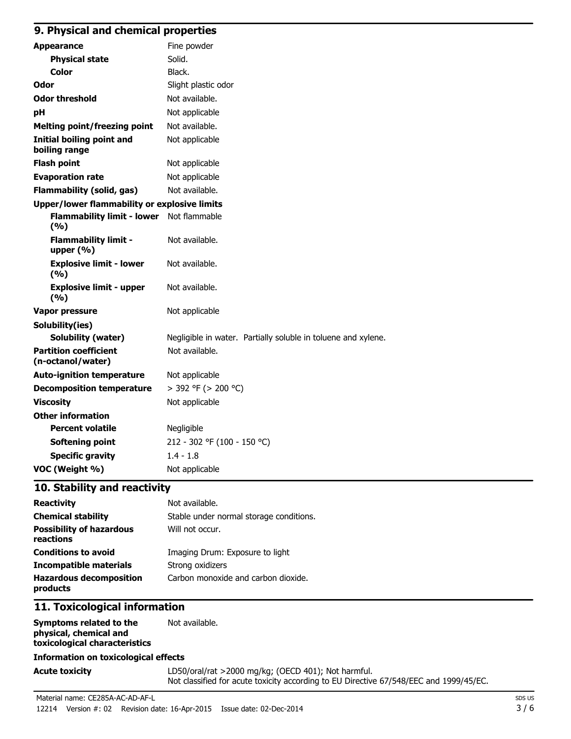### **9. Physical and chemical properties**

| <b>Appearance</b>                                 | Fine powder                                                   |
|---------------------------------------------------|---------------------------------------------------------------|
| <b>Physical state</b>                             | Solid.                                                        |
| <b>Color</b>                                      | Black.                                                        |
| Odor                                              | Slight plastic odor                                           |
| <b>Odor threshold</b>                             | Not available.                                                |
| pH                                                | Not applicable                                                |
| <b>Melting point/freezing point</b>               | Not available.                                                |
| <b>Initial boiling point and</b><br>boiling range | Not applicable                                                |
| <b>Flash point</b>                                | Not applicable                                                |
| <b>Evaporation rate</b>                           | Not applicable                                                |
| <b>Flammability (solid, gas)</b>                  | Not available.                                                |
| Upper/lower flammability or explosive limits      |                                                               |
| Flammability limit - lower Not flammable<br>(9/6) |                                                               |
| <b>Flammability limit -</b><br>upper $(% )$       | Not available.                                                |
| <b>Explosive limit - lower</b><br>(%)             | Not available.                                                |
| <b>Explosive limit - upper</b><br>(%)             | Not available.                                                |
| <b>Vapor pressure</b>                             | Not applicable                                                |
| Solubility(ies)                                   |                                                               |
| <b>Solubility (water)</b>                         | Negligible in water. Partially soluble in toluene and xylene. |
| <b>Partition coefficient</b><br>(n-octanol/water) | Not available.                                                |
| <b>Auto-ignition temperature</b>                  | Not applicable                                                |
| <b>Decomposition temperature</b>                  | > 392 °F (> 200 °C)                                           |
| <b>Viscosity</b>                                  | Not applicable                                                |
| <b>Other information</b>                          |                                                               |
| <b>Percent volatile</b>                           | Negligible                                                    |
| <b>Softening point</b>                            | 212 - 302 °F (100 - 150 °C)                                   |
| <b>Specific gravity</b>                           | $1.4 - 1.8$                                                   |
| VOC (Weight %)                                    | Not applicable                                                |

### **10. Stability and reactivity**

| <b>Reactivity</b>                            | Not available.                          |
|----------------------------------------------|-----------------------------------------|
| <b>Chemical stability</b>                    | Stable under normal storage conditions. |
| <b>Possibility of hazardous</b><br>reactions | Will not occur.                         |
| <b>Conditions to avoid</b>                   | Imaging Drum: Exposure to light         |
| <b>Incompatible materials</b>                | Strong oxidizers                        |
| <b>Hazardous decomposition</b><br>products   | Carbon monoxide and carbon dioxide.     |

## **11. Toxicological information**

| Symptoms related to the       | Not available. |
|-------------------------------|----------------|
| physical, chemical and        |                |
| toxicological characteristics |                |

#### **Information on toxicological effects**

Acute toxicity **Acute toxicity** LD50/oral/rat >2000 mg/kg; (OECD 401); Not harmful. Not classified for acute toxicity according to EU Directive 67/548/EEC and 1999/45/EC.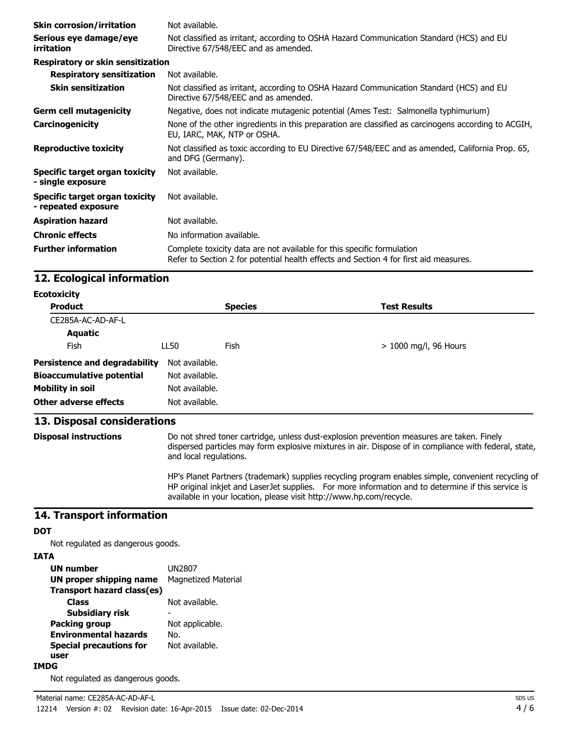| <b>Skin corrosion/irritation</b>                      | Not available.                                                                                                                                                  |
|-------------------------------------------------------|-----------------------------------------------------------------------------------------------------------------------------------------------------------------|
| Serious eye damage/eye<br>irritation                  | Not classified as irritant, according to OSHA Hazard Communication Standard (HCS) and EU<br>Directive 67/548/EEC and as amended.                                |
| Respiratory or skin sensitization                     |                                                                                                                                                                 |
| <b>Respiratory sensitization</b>                      | Not available.                                                                                                                                                  |
| <b>Skin sensitization</b>                             | Not classified as irritant, according to OSHA Hazard Communication Standard (HCS) and EU<br>Directive 67/548/EEC and as amended.                                |
| <b>Germ cell mutagenicity</b>                         | Negative, does not indicate mutagenic potential (Ames Test: Salmonella typhimurium)                                                                             |
| Carcinogenicity                                       | None of the other ingredients in this preparation are classified as carcinogens according to ACGIH,<br>EU, IARC, MAK, NTP or OSHA.                              |
| <b>Reproductive toxicity</b>                          | Not classified as toxic according to EU Directive 67/548/EEC and as amended, California Prop. 65,<br>and DFG (Germany).                                         |
| Specific target organ toxicity<br>- single exposure   | Not available.                                                                                                                                                  |
| Specific target organ toxicity<br>- repeated exposure | Not available.                                                                                                                                                  |
| <b>Aspiration hazard</b>                              | Not available.                                                                                                                                                  |
| <b>Chronic effects</b>                                | No information available.                                                                                                                                       |
| <b>Further information</b>                            | Complete toxicity data are not available for this specific formulation<br>Refer to Section 2 for potential health effects and Section 4 for first aid measures. |

## **12. Ecological information**

| <b>Ecotoxicity</b>                   |                |                |                         |  |
|--------------------------------------|----------------|----------------|-------------------------|--|
| <b>Product</b>                       |                | <b>Species</b> | <b>Test Results</b>     |  |
| CE285A-AC-AD-AF-L                    |                |                |                         |  |
| <b>Aquatic</b>                       |                |                |                         |  |
| <b>Fish</b>                          | LL50           | Fish           | $> 1000$ mg/l, 96 Hours |  |
| <b>Persistence and degradability</b> | Not available. |                |                         |  |
| <b>Bioaccumulative potential</b>     | Not available. |                |                         |  |
| <b>Mobility in soil</b>              | Not available. |                |                         |  |
| Other adverse effects                | Not available. |                |                         |  |

## **13. Disposal considerations**

**Disposal instructions** Do not shred toner cartridge, unless dust-explosion prevention measures are taken. Finely dispersed particles may form explosive mixtures in air. Dispose of in compliance with federal, state, and local regulations.

> HP's Planet Partners (trademark) supplies recycling program enables simple, convenient recycling of HP original inkjet and LaserJet supplies. For more information and to determine if this service is available in your location, please visit http://www.hp.com/recycle.

#### **14. Transport information**

#### **DOT**

Not regulated as dangerous goods.

#### **IATA**

| UN number                      | UN2807              |
|--------------------------------|---------------------|
| <b>UN proper shipping name</b> | Magnetized Material |
| Transport hazard class(es)     |                     |
| Class                          | Not available.      |
| Subsidiary risk                |                     |
| <b>Packing group</b>           | Not applicable.     |
| <b>Environmental hazards</b>   | No.                 |
| <b>Special precautions for</b> | Not available.      |
| user                           |                     |
|                                |                     |

#### **IMDG**

Not regulated as dangerous goods.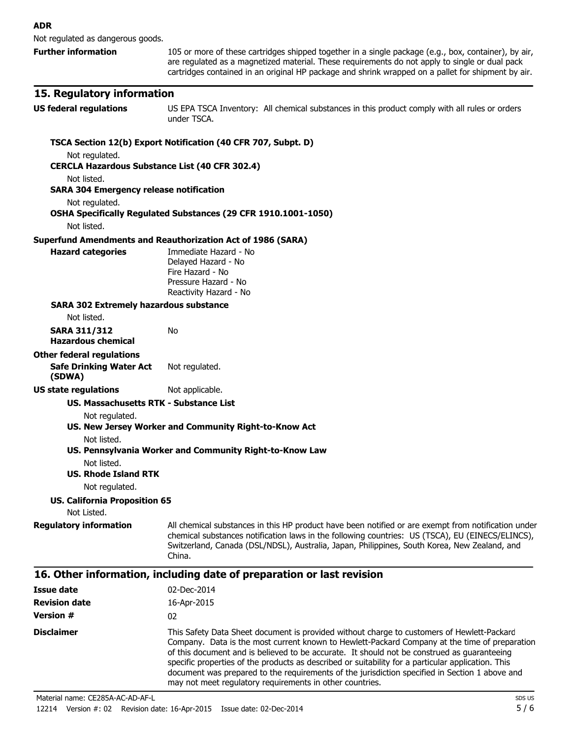Not regulated as dangerous goods.

**Further information** 105 or more of these cartridges shipped together in a single package (e.g., box, container), by air, are regulated as a magnetized material. These requirements do not apply to single or dual pack cartridges contained in an original HP package and shrink wrapped on a pallet for shipment by air.

#### **15. Regulatory information**

**US federal regulations** US EPA TSCA Inventory: All chemical substances in this product comply with all rules or orders under TSCA.

#### **TSCA Section 12(b) Export Notification (40 CFR 707, Subpt. D)** Not regulated. **CERCLA Hazardous Substance List (40 CFR 302.4)** Not listed. **SARA 304 Emergency release notification** Not regulated. **OSHA Specifically Regulated Substances (29 CFR 1910.1001-1050)** Not listed. **Superfund Amendments and Reauthorization Act of 1986 (SARA) Hazard categories** Immediate Hazard - No Delayed Hazard - No Fire Hazard - No Pressure Hazard - No Reactivity Hazard - No **SARA 302 Extremely hazardous substance** Not listed. **SARA 311/312 Hazardous chemical** No **Other federal regulations Safe Drinking Water Act (SDWA)** Not regulated. **US state regulations** Not applicable. **US. Massachusetts RTK - Substance List** Not regulated. **US. New Jersey Worker and Community Right-to-Know Act** Not listed. **US. Pennsylvania Worker and Community Right-to-Know Law** Not listed. **US. Rhode Island RTK** Not regulated. **US. California Proposition 65** Not Listed. **Requiatory information** All chemical substances in this HP product have been notified or are exempt from notification under chemical substances notification laws in the following countries: US (TSCA), EU (EINECS/ELINCS), Switzerland, Canada (DSL/NDSL), Australia, Japan, Philippines, South Korea, New Zealand, and China. **16. Other information, including date of preparation or last revision Issue date** 02-Dec-2014 **Revision date** 16-Apr-2015 **Version #** 02 **Disclaimer** This Safety Data Sheet document is provided without charge to customers of Hewlett-Packard Company. Data is the most current known to Hewlett-Packard Company at the time of preparation of this document and is believed to be accurate. It should not be construed as guaranteeing specific properties of the products as described or suitability for a particular application. This

document was prepared to the requirements of the jurisdiction specified in Section 1 above and may not meet regulatory requirements in other countries. Material name: CE285A-AC-AD-AF-L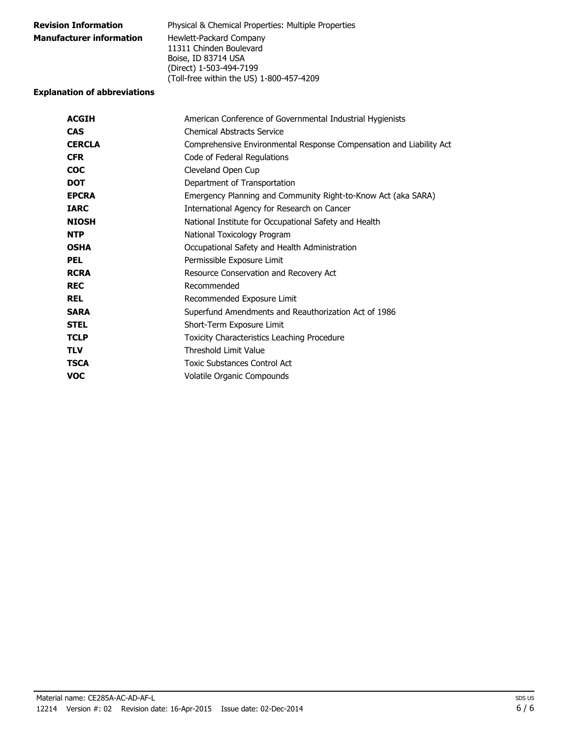| <b>Revision Information</b>     | <b>Physical &amp; Chemical Properties: Multiple Properties</b> |
|---------------------------------|----------------------------------------------------------------|
| <b>Manufacturer information</b> | Hewlett-Packard Company                                        |
|                                 | 11311 Chinden Boulevard                                        |
|                                 | Boise, ID 83714 USA                                            |
|                                 | (Direct) 1-503-494-7199                                        |
|                                 | (Toll-free within the US) 1-800-457-4209                       |

#### **Explanation of abbreviations**

| <b>ACGIH</b>  | American Conference of Governmental Industrial Hygienists           |
|---------------|---------------------------------------------------------------------|
| <b>CAS</b>    | <b>Chemical Abstracts Service</b>                                   |
| <b>CERCLA</b> | Comprehensive Environmental Response Compensation and Liability Act |
| <b>CFR</b>    | Code of Federal Regulations                                         |
| <b>COC</b>    | Cleveland Open Cup                                                  |
| <b>DOT</b>    | Department of Transportation                                        |
| <b>EPCRA</b>  | Emergency Planning and Community Right-to-Know Act (aka SARA)       |
| <b>IARC</b>   | International Agency for Research on Cancer                         |
| <b>NIOSH</b>  | National Institute for Occupational Safety and Health               |
| <b>NTP</b>    | National Toxicology Program                                         |
| <b>OSHA</b>   | Occupational Safety and Health Administration                       |
| <b>PEL</b>    | Permissible Exposure Limit                                          |
| <b>RCRA</b>   | Resource Conservation and Recovery Act                              |
| <b>REC</b>    | Recommended                                                         |
| <b>REL</b>    | Recommended Exposure Limit                                          |
| <b>SARA</b>   | Superfund Amendments and Reauthorization Act of 1986                |
| <b>STEL</b>   | Short-Term Exposure Limit                                           |
| <b>TCLP</b>   | Toxicity Characteristics Leaching Procedure                         |
| <b>TLV</b>    | <b>Threshold Limit Value</b>                                        |
| <b>TSCA</b>   | <b>Toxic Substances Control Act</b>                                 |
| <b>VOC</b>    | Volatile Organic Compounds                                          |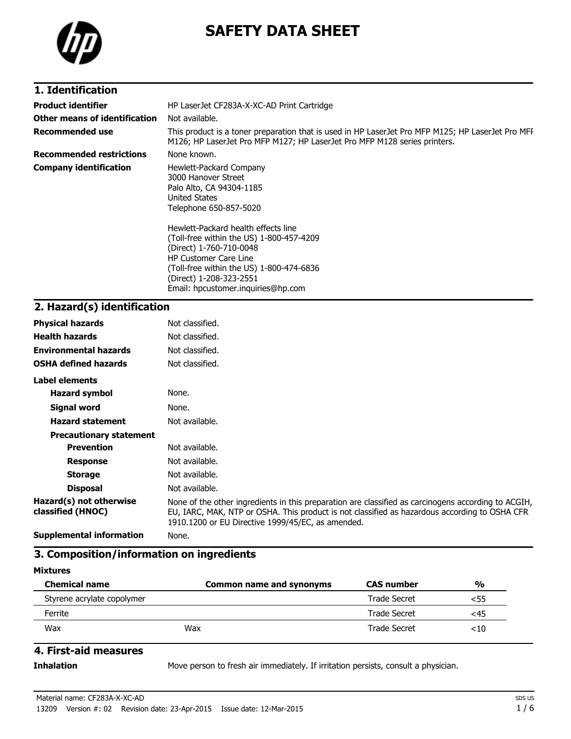

# **SAFETY DATA SHEET**

## **1. Identification**

| <b>Product identifier</b><br>Other means of identification | HP LaserJet CF283A-X-XC-AD Print Cartridge<br>Not available.                                                                                                                                                    |
|------------------------------------------------------------|-----------------------------------------------------------------------------------------------------------------------------------------------------------------------------------------------------------------|
| <b>Recommended use</b>                                     | This product is a toner preparation that is used in HP LaserJet Pro MFP M125; HP LaserJet Pro MFF<br>M126; HP LaserJet Pro MFP M127; HP LaserJet Pro MFP M128 series printers.                                  |
| <b>Recommended restrictions</b>                            | None known.                                                                                                                                                                                                     |
| <b>Company identification</b>                              | Hewlett-Packard Company<br>3000 Hanover Street<br>Palo Alto, CA 94304-1185<br><b>United States</b><br>Telephone 650-857-5020<br>Hewlett-Packard health effects line<br>(Toll-free within the US) 1-800-457-4209 |
|                                                            | (Direct) 1-760-710-0048<br><b>HP Customer Care Line</b><br>(Toll-free within the US) 1-800-474-6836<br>(Direct) 1-208-323-2551<br>Email: hpcustomer.inguiries@hp.com                                            |

# **2. Hazard(s) identification**

| <b>Physical hazards</b>                      | Not classified.                                                                                                                                                                                                                                           |
|----------------------------------------------|-----------------------------------------------------------------------------------------------------------------------------------------------------------------------------------------------------------------------------------------------------------|
| <b>Health hazards</b>                        | Not classified.                                                                                                                                                                                                                                           |
| <b>Environmental hazards</b>                 | Not classified.                                                                                                                                                                                                                                           |
| <b>OSHA defined hazards</b>                  | Not classified.                                                                                                                                                                                                                                           |
| Label elements                               |                                                                                                                                                                                                                                                           |
| <b>Hazard symbol</b>                         | None.                                                                                                                                                                                                                                                     |
| <b>Signal word</b>                           | None.                                                                                                                                                                                                                                                     |
| <b>Hazard statement</b>                      | Not available.                                                                                                                                                                                                                                            |
| <b>Precautionary statement</b>               |                                                                                                                                                                                                                                                           |
| <b>Prevention</b>                            | Not available.                                                                                                                                                                                                                                            |
| <b>Response</b>                              | Not available.                                                                                                                                                                                                                                            |
| <b>Storage</b>                               | Not available.                                                                                                                                                                                                                                            |
| <b>Disposal</b>                              | Not available.                                                                                                                                                                                                                                            |
| Hazard(s) not otherwise<br>classified (HNOC) | None of the other ingredients in this preparation are classified as carcinogens according to ACGIH,<br>EU, IARC, MAK, NTP or OSHA. This product is not classified as hazardous according to OSHA CFR<br>1910.1200 or EU Directive 1999/45/EC, as amended. |
| <b>Supplemental information</b>              | None.                                                                                                                                                                                                                                                     |

### **3. Composition/information on ingredients**

#### **Mixtures**

| <b>Chemical name</b>       | Common name and synonyms | <b>CAS number</b>   | %   |
|----------------------------|--------------------------|---------------------|-----|
| Styrene acrylate copolymer |                          | Trade Secret        | <55 |
| Ferrite                    |                          | <b>Trade Secret</b> | <45 |
| Wax                        | Wax                      | Trade Secret        | <10 |

## **4. First-aid measures**

**Inhalation** Move person to fresh air immediately. If irritation persists, consult a physician.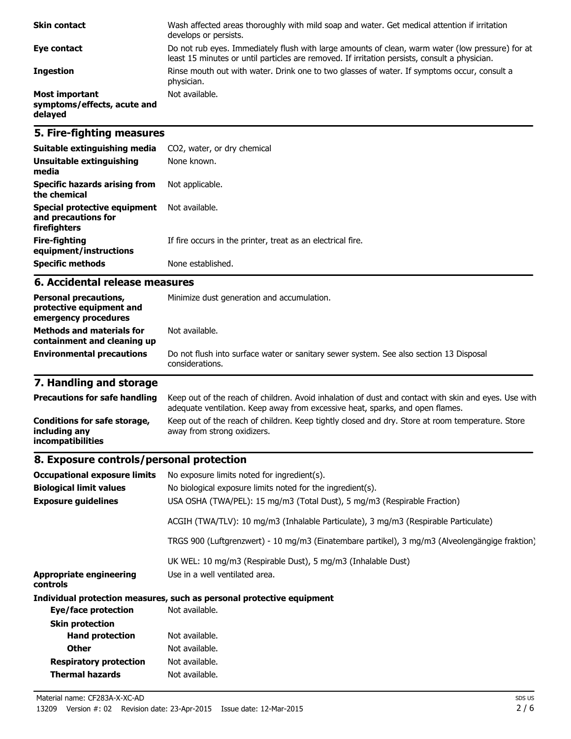| <b>Skin contact</b>                                             | Wash affected areas thoroughly with mild soap and water. Get medical attention if irritation<br>develops or persists.                                                                             |
|-----------------------------------------------------------------|---------------------------------------------------------------------------------------------------------------------------------------------------------------------------------------------------|
| Eye contact                                                     | Do not rub eyes. Immediately flush with large amounts of clean, warm water (low pressure) for at<br>least 15 minutes or until particles are removed. If irritation persists, consult a physician. |
| <b>Ingestion</b>                                                | Rinse mouth out with water. Drink one to two glasses of water. If symptoms occur, consult a<br>physician.                                                                                         |
| <b>Most important</b><br>symptoms/effects, acute and<br>delayed | Not available.                                                                                                                                                                                    |

## **5. Fire-fighting measures**

| Suitable extinguishing media                                        | CO2, water, or dry chemical                                 |
|---------------------------------------------------------------------|-------------------------------------------------------------|
| Unsuitable extinguishing<br>media                                   | None known.                                                 |
| Specific hazards arising from<br>the chemical                       | Not applicable.                                             |
| Special protective equipment<br>and precautions for<br>firefighters | Not available.                                              |
| Fire-fighting<br>equipment/instructions                             | If fire occurs in the printer, treat as an electrical fire. |
| <b>Specific methods</b>                                             | None established.                                           |

#### **6. Accidental release measures**

| <b>Personal precautions,</b><br>protective equipment and<br>emergency procedures | Minimize dust generation and accumulation.                                                                |
|----------------------------------------------------------------------------------|-----------------------------------------------------------------------------------------------------------|
| <b>Methods and materials for</b><br>containment and cleaning up                  | Not available.                                                                                            |
| <b>Environmental precautions</b>                                                 | Do not flush into surface water or sanitary sewer system. See also section 13 Disposal<br>considerations. |

# **7. Handling and storage**

| <b>Precautions for safe handling</b>                               | Keep out of the reach of children. Avoid inhalation of dust and contact with skin and eyes. Use with<br>adequate ventilation. Keep away from excessive heat, sparks, and open flames. |
|--------------------------------------------------------------------|---------------------------------------------------------------------------------------------------------------------------------------------------------------------------------------|
| Conditions for safe storage,<br>including any<br>incompatibilities | Keep out of the reach of children. Keep tightly closed and dry. Store at room temperature. Store<br>away from strong oxidizers.                                                       |

## **8. Exposure controls/personal protection**

| <b>Occupational exposure limits</b>        | No exposure limits noted for ingredient(s).                                                    |
|--------------------------------------------|------------------------------------------------------------------------------------------------|
| <b>Biological limit values</b>             | No biological exposure limits noted for the ingredient(s).                                     |
| <b>Exposure guidelines</b>                 | USA OSHA (TWA/PEL): 15 mg/m3 (Total Dust), 5 mg/m3 (Respirable Fraction)                       |
|                                            | ACGIH (TWA/TLV): 10 mg/m3 (Inhalable Particulate), 3 mg/m3 (Respirable Particulate)            |
|                                            | TRGS 900 (Luftgrenzwert) - 10 mg/m3 (Einatembare partikel), 3 mg/m3 (Alveolengängige fraktion) |
|                                            | UK WEL: 10 mg/m3 (Respirable Dust), 5 mg/m3 (Inhalable Dust)                                   |
| <b>Appropriate engineering</b><br>controls | Use in a well ventilated area.                                                                 |
|                                            | Individual protection measures, such as personal protective equipment                          |
| Eye/face protection                        | Not available.                                                                                 |
| <b>Skin protection</b>                     |                                                                                                |
| <b>Hand protection</b>                     | Not available.                                                                                 |
| <b>Other</b>                               | Not available.                                                                                 |
| <b>Respiratory protection</b>              | Not available.                                                                                 |
| Thermal hazards                            | Not available.                                                                                 |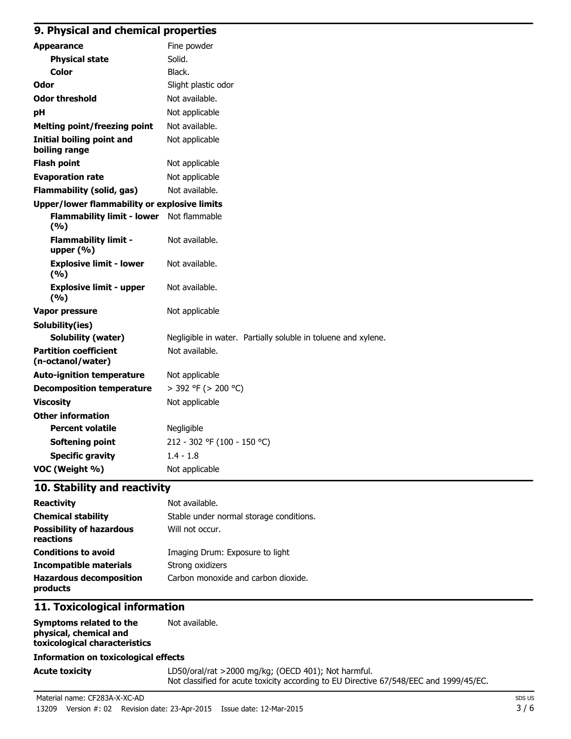### **9. Physical and chemical properties**

| <b>Appearance</b>                                 | Fine powder                                                   |
|---------------------------------------------------|---------------------------------------------------------------|
| <b>Physical state</b>                             | Solid.                                                        |
| Color                                             | Black.                                                        |
| Odor                                              | Slight plastic odor                                           |
| <b>Odor threshold</b>                             | Not available.                                                |
| pH                                                | Not applicable                                                |
| <b>Melting point/freezing point</b>               | Not available.                                                |
| <b>Initial boiling point and</b><br>boiling range | Not applicable                                                |
| <b>Flash point</b>                                | Not applicable                                                |
| <b>Evaporation rate</b>                           | Not applicable                                                |
| <b>Flammability (solid, gas)</b>                  | Not available.                                                |
| Upper/lower flammability or explosive limits      |                                                               |
| Flammability limit - lower Not flammable<br>(%)   |                                                               |
| <b>Flammability limit -</b><br>upper $(% )$       | Not available.                                                |
| <b>Explosive limit - lower</b><br>(9/6)           | Not available.                                                |
| <b>Explosive limit - upper</b><br>(9/6)           | Not available.                                                |
| <b>Vapor pressure</b>                             | Not applicable                                                |
| Solubility(ies)                                   |                                                               |
| Solubility (water)                                | Negligible in water. Partially soluble in toluene and xylene. |
| <b>Partition coefficient</b><br>(n-octanol/water) | Not available.                                                |
| <b>Auto-ignition temperature</b>                  | Not applicable                                                |
| <b>Decomposition temperature</b>                  | $>$ 392 °F ( $>$ 200 °C)                                      |
| <b>Viscosity</b>                                  | Not applicable                                                |
| <b>Other information</b>                          |                                                               |
| <b>Percent volatile</b>                           | Negligible                                                    |
| <b>Softening point</b>                            | 212 - 302 °F (100 - 150 °C)                                   |
| <b>Specific gravity</b>                           | $1.4 - 1.8$                                                   |
| VOC (Weight %)                                    | Not applicable                                                |

### **10. Stability and reactivity**

| <b>Reactivity</b>                            | Not available.                          |
|----------------------------------------------|-----------------------------------------|
| <b>Chemical stability</b>                    | Stable under normal storage conditions. |
| <b>Possibility of hazardous</b><br>reactions | Will not occur.                         |
| <b>Conditions to avoid</b>                   | Imaging Drum: Exposure to light         |
| <b>Incompatible materials</b>                | Strong oxidizers                        |
| <b>Hazardous decomposition</b><br>products   | Carbon monoxide and carbon dioxide.     |

## **11. Toxicological information**

| Symptoms related to the       | Not available. |
|-------------------------------|----------------|
| physical, chemical and        |                |
| toxicological characteristics |                |

#### **Information on toxicological effects**

Acute toxicity **Acute toxicity** LD50/oral/rat >2000 mg/kg; (OECD 401); Not harmful. Not classified for acute toxicity according to EU Directive 67/548/EEC and 1999/45/EC.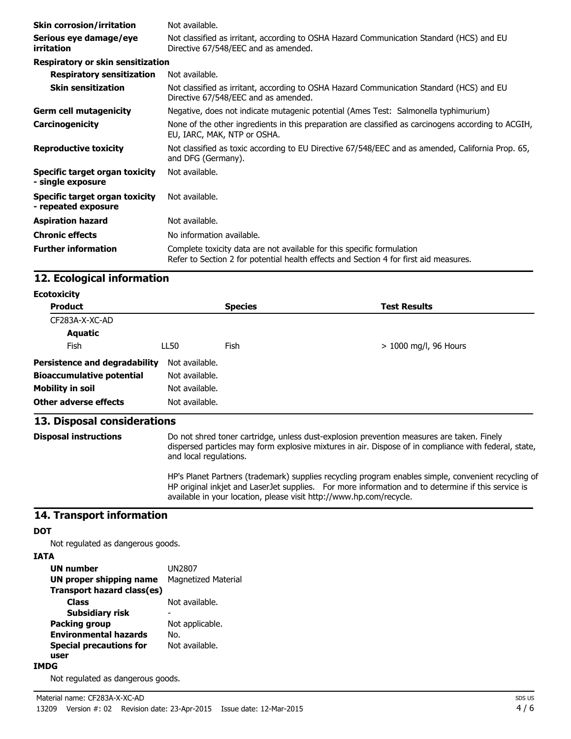| <b>Skin corrosion/irritation</b>                      | Not available.                                                                                                                                                  |
|-------------------------------------------------------|-----------------------------------------------------------------------------------------------------------------------------------------------------------------|
| Serious eye damage/eye<br>irritation                  | Not classified as irritant, according to OSHA Hazard Communication Standard (HCS) and EU<br>Directive 67/548/EEC and as amended.                                |
| <b>Respiratory or skin sensitization</b>              |                                                                                                                                                                 |
| <b>Respiratory sensitization</b>                      | Not available.                                                                                                                                                  |
| <b>Skin sensitization</b>                             | Not classified as irritant, according to OSHA Hazard Communication Standard (HCS) and EU<br>Directive 67/548/EEC and as amended.                                |
| <b>Germ cell mutagenicity</b>                         | Negative, does not indicate mutagenic potential (Ames Test: Salmonella typhimurium)                                                                             |
| Carcinogenicity                                       | None of the other ingredients in this preparation are classified as carcinogens according to ACGIH,<br>EU, IARC, MAK, NTP or OSHA.                              |
| <b>Reproductive toxicity</b>                          | Not classified as toxic according to EU Directive 67/548/EEC and as amended, California Prop. 65,<br>and DFG (Germany).                                         |
| Specific target organ toxicity<br>- single exposure   | Not available.                                                                                                                                                  |
| Specific target organ toxicity<br>- repeated exposure | Not available.                                                                                                                                                  |
| <b>Aspiration hazard</b>                              | Not available.                                                                                                                                                  |
| <b>Chronic effects</b>                                | No information available.                                                                                                                                       |
| <b>Further information</b>                            | Complete toxicity data are not available for this specific formulation<br>Refer to Section 2 for potential health effects and Section 4 for first aid measures. |

## **12. Ecological information**

| <b>Ecotoxicity</b>                   |                |                |                         |  |
|--------------------------------------|----------------|----------------|-------------------------|--|
| <b>Product</b>                       |                | <b>Species</b> | <b>Test Results</b>     |  |
| CF283A-X-XC-AD                       |                |                |                         |  |
| Aquatic                              |                |                |                         |  |
| <b>Fish</b>                          | LL50           | Fish           | $> 1000$ mg/l, 96 Hours |  |
| <b>Persistence and degradability</b> | Not available. |                |                         |  |
| <b>Bioaccumulative potential</b>     | Not available. |                |                         |  |
| <b>Mobility in soil</b>              | Not available. |                |                         |  |
| <b>Other adverse effects</b>         | Not available. |                |                         |  |

## **13. Disposal considerations**

**Disposal instructions** Do not shred toner cartridge, unless dust-explosion prevention measures are taken. Finely dispersed particles may form explosive mixtures in air. Dispose of in compliance with federal, state, and local regulations.

> HP's Planet Partners (trademark) supplies recycling program enables simple, convenient recycling of HP original inkjet and LaserJet supplies. For more information and to determine if this service is available in your location, please visit http://www.hp.com/recycle.

#### **14. Transport information**

#### **DOT**

Not regulated as dangerous goods.

#### **IATA**

| <b>UN number</b>               | UN2807                     |
|--------------------------------|----------------------------|
| <b>UN proper shipping name</b> | <b>Magnetized Material</b> |
| Transport hazard class(es)     |                            |
| Class                          | Not available.             |
| Subsidiary risk                |                            |
| <b>Packing group</b>           | Not applicable.            |
| <b>Environmental hazards</b>   | No.                        |
| <b>Special precautions for</b> | Not available.             |
| user                           |                            |
|                                |                            |

#### **IMDG**

Not regulated as dangerous goods.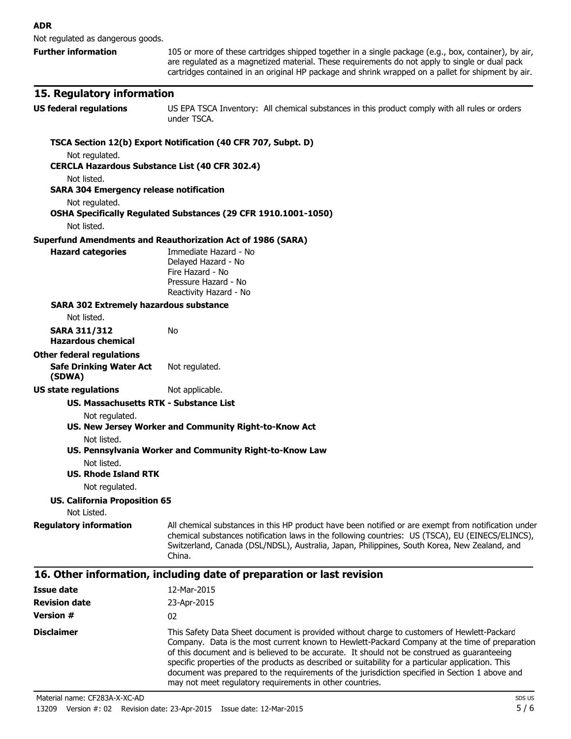Not regulated as dangerous goods.

**Further information** 105 or more of these cartridges shipped together in a single package (e.g., box, container), by air, are regulated as a magnetized material. These requirements do not apply to single or dual pack cartridges contained in an original HP package and shrink wrapped on a pallet for shipment by air.

#### **15. Regulatory information**

**US federal regulations** US EPA TSCA Inventory: All chemical substances in this product comply with all rules or orders under TSCA.

#### **TSCA Section 12(b) Export Notification (40 CFR 707, Subpt. D)** Not regulated. **CERCLA Hazardous Substance List (40 CFR 302.4)** Not listed. **SARA 304 Emergency release notification** Not regulated. **OSHA Specifically Regulated Substances (29 CFR 1910.1001-1050)** Not listed. **Superfund Amendments and Reauthorization Act of 1986 (SARA) Hazard categories** Immediate Hazard - No Delayed Hazard - No Fire Hazard - No Pressure Hazard - No Reactivity Hazard - No **SARA 302 Extremely hazardous substance** Not listed. **SARA 311/312 Hazardous chemical** No **Other federal regulations Safe Drinking Water Act (SDWA)** Not regulated. **US state regulations** Not applicable. **US. Massachusetts RTK - Substance List** Not regulated. **US. New Jersey Worker and Community Right-to-Know Act** Not listed. **US. Pennsylvania Worker and Community Right-to-Know Law** Not listed. **US. Rhode Island RTK** Not regulated. **US. California Proposition 65** Not Listed. **Requiatory information** All chemical substances in this HP product have been notified or are exempt from notification under chemical substances notification laws in the following countries: US (TSCA), EU (EINECS/ELINCS), Switzerland, Canada (DSL/NDSL), Australia, Japan, Philippines, South Korea, New Zealand, and China. **16. Other information, including date of preparation or last revision Issue date** 12-Mar-2015 **Revision date** 23-Apr-2015 **Version #** 02 **Disclaimer** This Safety Data Sheet document is provided without charge to customers of Hewlett-Packard Company. Data is the most current known to Hewlett-Packard Company at the time of preparation of this document and is believed to be accurate. It should not be construed as guaranteeing specific properties of the products as described or suitability for a particular application. This

document was prepared to the requirements of the jurisdiction specified in Section 1 above and may not meet regulatory requirements in other countries. Material name: CF283A-X-XC-AD